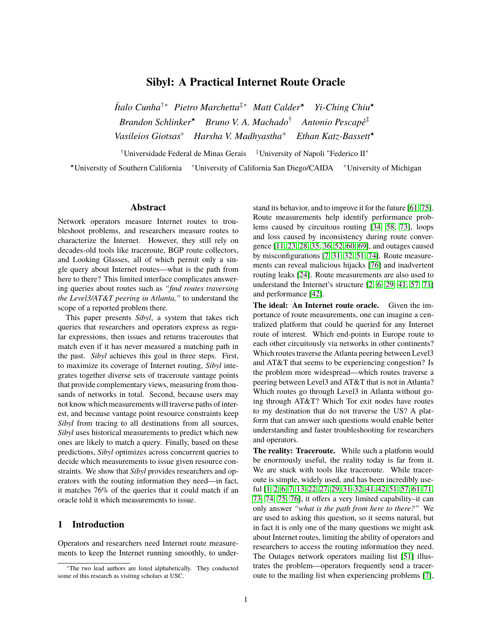# **Sibyl: A Practical Internet Route Oracle**

*Ítalo Cunha*†∗ *Pietro Marchetta*‡∗ *Matt Calder*? *Yi-Ching Chiu*? *Brandon Schlinker*? *Bruno V. A. Machado*† *Antonio Pescapè*‡ *Vasileios Giotsas Harsha V. Madhyastha*<sup>+</sup> *Ethan Katz-Bassett*?

†Universidade Federal de Minas Gerais ‡University of Napoli "Federico II"

\*University of Southern California <sup>o</sup>University of California San Diego/CAIDA <sup>+</sup>University of Michigan

## **Abstract**

Network operators measure Internet routes to troubleshoot problems, and researchers measure routes to characterize the Internet. However, they still rely on decades-old tools like traceroute, BGP route collectors, and Looking Glasses, all of which permit only a single query about Internet routes—what is the path from here to there? This limited interface complicates answering queries about routes such as *"find routes traversing the Level3/AT&T peering in Atlanta,"* to understand the scope of a reported problem there.

This paper presents *Sibyl*, a system that takes rich queries that researchers and operators express as regular expressions, then issues and returns traceroutes that match even if it has never measured a matching path in the past. *Sibyl* achieves this goal in three steps. First, to maximize its coverage of Internet routing, *Sibyl* integrates together diverse sets of traceroute vantage points that provide complementary views, measuring from thousands of networks in total. Second, because users may not know which measurements will traverse paths of interest, and because vantage point resource constraints keep *Sibyl* from tracing to all destinations from all sources, *Sibyl* uses historical measurements to predict which new ones are likely to match a query. Finally, based on these predictions, *Sibyl* optimizes across concurrent queries to decide which measurements to issue given resource constraints. We show that *Sibyl* provides researchers and operators with the routing information they need—in fact, it matches 76% of the queries that it could match if an oracle told it which measurements to issue.

#### **1 Introduction**

Operators and researchers need Internet route measurements to keep the Internet running smoothly, to understand its behavior, and to improve it for the future [\[61,](#page-19-0) [75\]](#page-19-1). Route measurements help identify performance problems caused by circuitous routing [\[34,](#page-18-0) [58,](#page-19-2) [73\]](#page-19-3), loops and loss caused by inconsistency during route convergence [\[11,](#page-18-1) [23,](#page-18-2) [28,](#page-18-3) [35,](#page-18-4) [36,](#page-18-5) [52,](#page-19-4) [60,](#page-19-5) [69\]](#page-19-6), and outages caused by misconfigurations [\[7,](#page-18-6) [31,](#page-18-7) [32,](#page-18-8) [51,](#page-19-7) [74\]](#page-19-8). Route measurements can reveal malicious hijacks [\[76\]](#page-19-9) and inadvertent routing leaks [\[24\]](#page-18-9). Route measurements are also used to understand the Internet's structure [\[2,](#page-18-10) [6,](#page-18-11) [29,](#page-18-12) [41,](#page-19-10) [57,](#page-19-11) [71\]](#page-19-12) and performance [\[42\]](#page-19-13).

**The ideal: An Internet route oracle.** Given the importance of route measurements, one can imagine a centralized platform that could be queried for any Internet route of interest. Which end-points in Europe route to each other circuitously via networks in other continents? Which routes traverse the Atlanta peering between Level3 and AT&T that seems to be experiencing congestion? Is the problem more widespread—which routes traverse a peering between Level3 and AT&T that is not in Atlanta? Which routes go through Level3 in Atlanta without going through AT&T? Which Tor exit nodes have routes to my destination that do not traverse the US? A platform that can answer such questions would enable better understanding and faster troubleshooting for researchers and operators.

**The reality: Traceroute.** While such a platform would be enormously useful, the reality today is far from it. We are stuck with tools like traceroute. While traceroute is simple, widely used, and has been incredibly useful [\[1,](#page-18-13) [2,](#page-18-10) [6,](#page-18-11) [7,](#page-18-6) [13,](#page-18-14) [22,](#page-18-15) [27,](#page-18-16) [29,](#page-18-12) [31,](#page-18-7) [32,](#page-18-8) [41,](#page-19-10) [42,](#page-19-13) [51,](#page-19-7) [57,](#page-19-11) [61,](#page-19-0) [71,](#page-19-12) [73,](#page-19-3) [74,](#page-19-8) [75,](#page-19-1) [76\]](#page-19-9), it offers a very limited capability–it can only answer *"what is the path from here to there?"* We are used to asking this question, so it seems natural, but in fact it is only one of the many questions we might ask about Internet routes, limiting the ability of operators and researchers to access the routing information they need. The Outages network operators mailing list [\[51\]](#page-19-7) illustrates the problem—operators frequently send a traceroute to the mailing list when experiencing problems [\[7\]](#page-18-6),

<sup>∗</sup>The two lead authors are listed alphabetically. They conducted some of this research as visiting scholars at USC.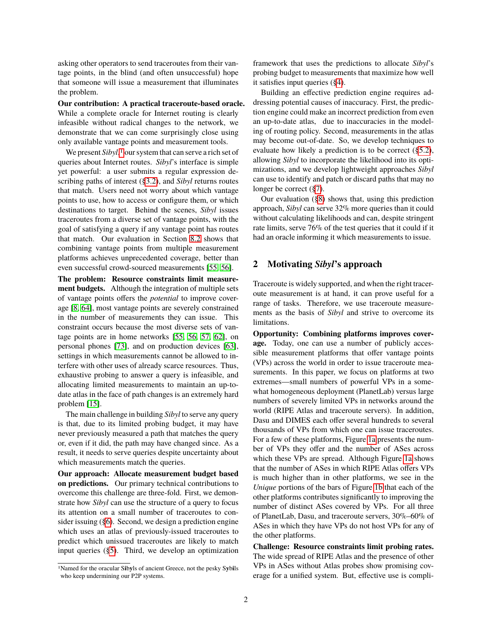asking other operators to send traceroutes from their vantage points, in the blind (and often unsuccessful) hope that someone will issue a measurement that illuminates the problem.

**Our contribution: A practical traceroute-based oracle.** While a complete oracle for Internet routing is clearly infeasible without radical changes to the network, we demonstrate that we can come surprisingly close using only available vantage points and measurement tools.

We present *Sibyl*,<sup>[1](#page-1-0)</sup> our system that can serve a rich set of queries about Internet routes. *Sibyl*'s interface is simple yet powerful: a user submits a regular expression describing paths of interest ([§3.2\)](#page-3-0), and *Sibyl* returns routes that match. Users need not worry about which vantage points to use, how to access or configure them, or which destinations to target. Behind the scenes, *Sibyl* issues traceroutes from a diverse set of vantage points, with the goal of satisfying a query if any vantage point has routes that match. Our evaluation in Section [8.2](#page-9-0) shows that combining vantage points from multiple measurement platforms achieves unprecedented coverage, better than even successful crowd-sourced measurements [\[55,](#page-19-14) [56\]](#page-19-15).

**The problem: Resource constraints limit measurement budgets.** Although the integration of multiple sets of vantage points offers the *potential* to improve coverage [\[8,](#page-18-17) [64\]](#page-19-16), most vantage points are severely constrained in the number of measurements they can issue. This constraint occurs because the most diverse sets of vantage points are in home networks [\[55,](#page-19-14) [56,](#page-19-15) [57,](#page-19-11) [62\]](#page-19-17), on personal phones [\[73\]](#page-19-3), and on production devices [\[63\]](#page-19-18), settings in which measurements cannot be allowed to interfere with other uses of already scarce resources. Thus, exhaustive probing to answer a query is infeasible, and allocating limited measurements to maintain an up-todate atlas in the face of path changes is an extremely hard problem [\[15\]](#page-18-18).

The main challenge in building *Sibyl* to serve any query is that, due to its limited probing budget, it may have never previously measured a path that matches the query or, even if it did, the path may have changed since. As a result, it needs to serve queries despite uncertainty about which measurements match the queries.

**Our approach: Allocate measurement budget based on predictions.** Our primary technical contributions to overcome this challenge are three-fold. First, we demonstrate how *Sibyl* can use the structure of a query to focus its attention on a small number of traceroutes to consider issuing ([§6\)](#page-6-0). Second, we design a prediction engine which uses an atlas of previously-issued traceroutes to predict which unissued traceroutes are likely to match input queries ([§5\)](#page-5-0). Third, we develop an optimization framework that uses the predictions to allocate *Sibyl*'s probing budget to measurements that maximize how well it satisfies input queries ([§4\)](#page-4-0).

Building an effective prediction engine requires addressing potential causes of inaccuracy. First, the prediction engine could make an incorrect prediction from even an up-to-date atlas, due to inaccuracies in the modeling of routing policy. Second, measurements in the atlas may become out-of-date. So, we develop techniques to evaluate how likely a prediction is to be correct ([§5.2\)](#page-6-1), allowing *Sibyl* to incorporate the likelihood into its optimizations, and we develop lightweight approaches *Sibyl* can use to identify and patch or discard paths that may no longer be correct ([§7\)](#page-7-0).

Our evaluation ([§8\)](#page-7-1) shows that, using this prediction approach, *Sibyl* can serve 32% more queries than it could without calculating likelihoods and can, despite stringent rate limits, serve 76% of the test queries that it could if it had an oracle informing it which measurements to issue.

## <span id="page-1-1"></span>**2 Motivating** *Sibyl***'s approach**

Traceroute is widely supported, and when the right traceroute measurement is at hand, it can prove useful for a range of tasks. Therefore, we use traceroute measurements as the basis of *Sibyl* and strive to overcome its limitations.

**Opportunity: Combining platforms improves coverage.** Today, one can use a number of publicly accessible measurement platforms that offer vantage points (VPs) across the world in order to issue traceroute measurements. In this paper, we focus on platforms at two extremes—small numbers of powerful VPs in a somewhat homogeneous deployment (PlanetLab) versus large numbers of severely limited VPs in networks around the world (RIPE Atlas and traceroute servers). In addition, Dasu and DIMES each offer several hundreds to several thousands of VPs from which one can issue traceroutes. For a few of these platforms, Figure [1a](#page-2-0) presents the number of VPs they offer and the number of ASes across which these VPs are spread. Although Figure [1a](#page-2-0) shows that the number of ASes in which RIPE Atlas offers VPs is much higher than in other platforms, we see in the *Unique* portions of the bars of Figure [1b](#page-2-1) that each of the other platforms contributes significantly to improving the number of distinct ASes covered by VPs. For all three of PlanetLab, Dasu, and traceroute servers, 30%–60% of ASes in which they have VPs do not host VPs for any of the other platforms.

**Challenge: Resource constraints limit probing rates.** The wide spread of RIPE Atlas and the presence of other VPs in ASes without Atlas probes show promising coverage for a unified system. But, effective use is compli-

<span id="page-1-0"></span><sup>1</sup>Named for the oracular S**i**b**y**ls of ancient Greece, not the pesky S**y**b**i**ls who keep undermining our P2P systems.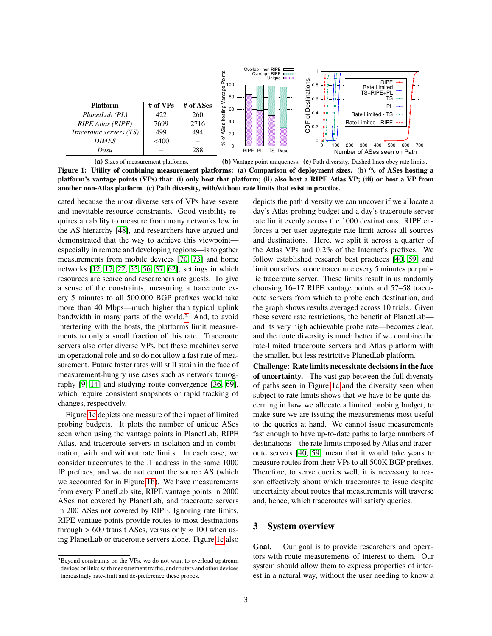<span id="page-2-0"></span>

**(a)** Sizes of measurement platforms.

<span id="page-2-1"></span>**(b)** Vantage point uniqueness. **(c)** Path diversity. Dashed lines obey rate limits.

**Figure 1: Utility of combining measurement platforms: (a) Comparison of deployment sizes. (b) % of ASes hosting a platform's vantage points (VPs) that: (i) only host that platform; (ii) also host a RIPE Atlas VP; (iii) or host a VP from another non-Atlas platform. (c) Path diversity, with/without rate limits that exist in practice.**

cated because the most diverse sets of VPs have severe and inevitable resource constraints. Good visibility requires an ability to measure from many networks low in the AS hierarchy [\[48\]](#page-19-19), and researchers have argued and demonstrated that the way to achieve this viewpoint especially in remote and developing regions—is to gather measurements from mobile devices [\[70,](#page-19-20) [73\]](#page-19-3) and home networks [\[12,](#page-18-19) [17,](#page-18-20) [22,](#page-18-15) [55,](#page-19-14) [56,](#page-19-15) [57,](#page-19-11) [62\]](#page-19-17), settings in which resources are scarce and researchers are guests. To give a sense of the constraints, measuring a traceroute every 5 minutes to all 500,000 BGP prefixes would take more than 40 Mbps—much higher than typical uplink bandwidth in many parts of the world.<sup>[2](#page-2-2)</sup> And, to avoid interfering with the hosts, the platforms limit measurements to only a small fraction of this rate. Traceroute servers also offer diverse VPs, but these machines serve an operational role and so do not allow a fast rate of measurement. Future faster rates will still strain in the face of measurement-hungry use cases such as network tomography [\[9,](#page-18-21) [14\]](#page-18-22) and studying route convergence [\[36,](#page-18-5) [69\]](#page-19-6), which require consistent snapshots or rapid tracking of changes, respectively.

Figure [1c](#page-2-3) depicts one measure of the impact of limited probing budgets. It plots the number of unique ASes seen when using the vantage points in PlanetLab, RIPE Atlas, and traceroute servers in isolation and in combination, with and without rate limits. In each case, we consider traceroutes to the .1 address in the same 1000 IP prefixes, and we do not count the source AS (which we accounted for in Figure [1b\)](#page-2-1). We have measurements from every PlanetLab site, RIPE vantage points in 2000 ASes not covered by PlanetLab, and traceroute servers in 200 ASes not covered by RIPE. Ignoring rate limits, RIPE vantage points provide routes to most destinations through > 600 transit ASes, versus only  $\approx 100$  when using PlanetLab or traceroute servers alone. Figure [1c](#page-2-3) also <span id="page-2-3"></span>depicts the path diversity we can uncover if we allocate a day's Atlas probing budget and a day's traceroute server rate limit evenly across the 1000 destinations. RIPE enforces a per user aggregate rate limit across all sources and destinations. Here, we split it across a quarter of the Atlas VPs and 0.2% of the Internet's prefixes. We follow established research best practices [\[40,](#page-19-21) [59\]](#page-19-22) and limit ourselves to one traceroute every 5 minutes per public traceroute server. These limits result in us randomly choosing 16–17 RIPE vantage points and 57–58 traceroute servers from which to probe each destination, and the graph shows results averaged across 10 trials. Given these severe rate restrictions, the benefit of PlanetLab and its very high achievable probe rate—becomes clear, and the route diversity is much better if we combine the rate-limited traceroute servers and Atlas platform with the smaller, but less restrictive PlanetLab platform.

**Challenge: Rate limits necessitate decisions in the face of uncertainty.** The vast gap between the full diversity of paths seen in Figure [1c](#page-2-3) and the diversity seen when subject to rate limits shows that we have to be quite discerning in how we allocate a limited probing budget, to make sure we are issuing the measurements most useful to the queries at hand. We cannot issue measurements fast enough to have up-to-date paths to large numbers of destinations—the rate limits imposed by Atlas and traceroute servers [\[40,](#page-19-21) [59\]](#page-19-22) mean that it would take years to measure routes from their VPs to all 500K BGP prefixes. Therefore, to serve queries well, it is necessary to reason effectively about which traceroutes to issue despite uncertainty about routes that measurements will traverse and, hence, which traceroutes will satisfy queries.

# **3 System overview**

Goal. Our goal is to provide researchers and operators with route measurements of interest to them. Our system should allow them to express properties of interest in a natural way, without the user needing to know a

<span id="page-2-2"></span><sup>2</sup>Beyond constraints on the VPs, we do not want to overload upstream devices or links with measurement traffic, and routers and other devices increasingly rate-limit and de-preference these probes.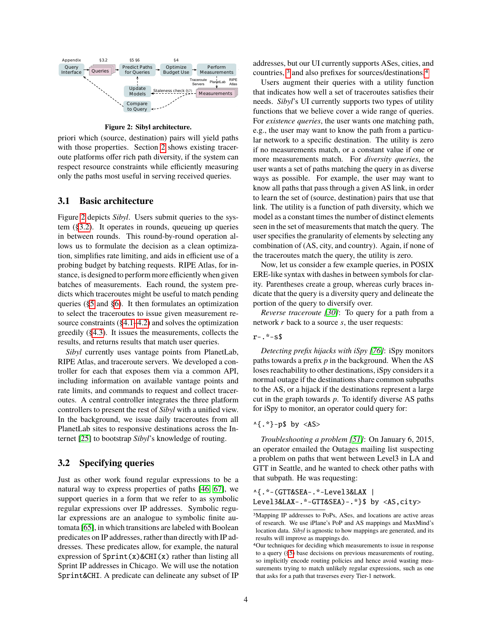<span id="page-3-1"></span>

**Figure 2: Sibyl architecture.**

priori which (source, destination) pairs will yield paths with those properties. Section [2](#page-1-1) shows existing traceroute platforms offer rich path diversity, if the system can respect resource constraints while efficiently measuring only the paths most useful in serving received queries.

#### **3.1 Basic architecture**

Figure [2](#page-3-1) depicts *Sibyl*. Users submit queries to the system ([§3.2\)](#page-3-0). It operates in rounds, queueing up queries in between rounds. This round-by-round operation allows us to formulate the decision as a clean optimization, simplifies rate limiting, and aids in efficient use of a probing budget by batching requests. RIPE Atlas, for instance, is designed to perform more efficiently when given batches of measurements. Each round, the system predicts which traceroutes might be useful to match pending queries ([§5](#page-5-0) and [§6\)](#page-6-0). It then formulates an optimization to select the traceroutes to issue given measurement resource constraints ([§4.1](#page-4-1)[–4.2\)](#page-4-2) and solves the optimization greedily ([§4.3\)](#page-5-1). It issues the measurements, collects the results, and returns results that match user queries.

*Sibyl* currently uses vantage points from PlanetLab, RIPE Atlas, and traceroute servers. We developed a controller for each that exposes them via a common API, including information on available vantage points and rate limits, and commands to request and collect traceroutes. A central controller integrates the three platform controllers to present the rest of *Sibyl* with a unified view. In the background, we issue daily traceroutes from all PlanetLab sites to responsive destinations across the Internet [\[25\]](#page-18-23) to bootstrap *Sibyl*'s knowledge of routing.

## <span id="page-3-0"></span>**3.2 Specifying queries**

Just as other work found regular expressions to be a natural way to express properties of paths [\[46,](#page-19-23) [67\]](#page-19-24), we support queries in a form that we refer to as symbolic regular expressions over IP addresses. Symbolic regular expressions are an analogue to symbolic finite automata [\[65\]](#page-19-25), in which transitions are labeled with Boolean predicates on IP addresses, rather than directly with IP addresses. These predicates allow, for example, the natural expression of  $Sprint(x)$ &CHI(x) rather than listing all Sprint IP addresses in Chicago. We will use the notation Sprint&CHI. A predicate can delineate any subset of IP addresses, but our UI currently supports ASes, cities, and countries, <sup>[3](#page-3-2)</sup> and also prefixes for sources/destinations.<sup>[4](#page-3-3)</sup>

Users augment their queries with a utility function that indicates how well a set of traceroutes satisfies their needs. *Sibyl*'s UI currently supports two types of utility functions that we believe cover a wide range of queries. For *existence queries*, the user wants one matching path, e.g., the user may want to know the path from a particular network to a specific destination. The utility is zero if no measurements match, or a constant value if one or more measurements match. For *diversity queries*, the user wants a set of paths matching the query in as diverse ways as possible. For example, the user may want to know all paths that pass through a given AS link, in order to learn the set of (source, destination) pairs that use that link. The utility is a function of path diversity, which we model as a constant times the number of distinct elements seen in the set of measurements that match the query. The user specifies the granularity of elements by selecting any combination of (AS, city, and country). Again, if none of the traceroutes match the query, the utility is zero.

Now, let us consider a few example queries, in POSIX ERE-like syntax with dashes in between symbols for clarity. Parentheses create a group, whereas curly braces indicate that the query is a diversity query and delineate the portion of the query to diversify over.

*Reverse traceroute [\[30\]](#page-18-24)*: To query for a path from a network *r* back to a source *s*, the user requests:

r-.\*-s\$

*Detecting prefix hijacks with iSpy [\[76\]](#page-19-9)*: iSpy monitors paths towards a prefix *p* in the background. When the AS loses reachability to other destinations, iSpy considers it a normal outage if the destinations share common subpaths to the AS, or a hijack if the destinations represent a large cut in the graph towards *p*. To identify diverse AS paths for iSpy to monitor, an operator could query for:

#### $^{4}$ .\*}-p\$ by <AS>

*Troubleshooting a problem [\[51\]](#page-19-7)*: On January 6, 2015, an operator emailed the Outages mailing list suspecting a problem on paths that went between Level3 in LA and GTT in Seattle, and he wanted to check other paths with that subpath. He was requesting:

^{.\*-(GTT&SEA-.\*-Level3&LAX | Level3&LAX-.\*-GTT&SEA)-.\*}\$ by <AS,city>

<span id="page-3-2"></span><sup>3</sup>Mapping IP addresses to PoPs, ASes, and locations are active areas of research. We use iPlane's PoP and AS mappings and MaxMind's location data. *Sibyl* is agnostic to how mappings are generated, and its results will improve as mappings do.

<span id="page-3-3"></span><sup>4</sup>Our techniques for deciding which measurements to issue in response to a query ([§5\)](#page-5-0) base decisions on previous measurements of routing, so implicitly encode routing policies and hence avoid wasting measurements trying to match unlikely regular expressions, such as one that asks for a path that traverses every Tier-1 network.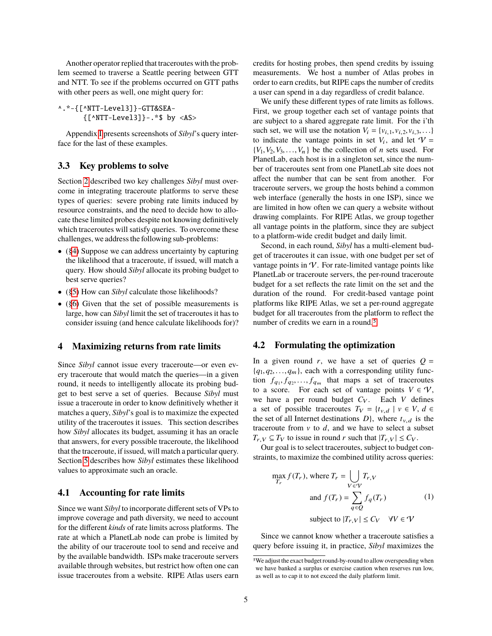Another operator replied that traceroutes with the problem seemed to traverse a Seattle peering between GTT and NTT. To see if the problems occurred on GTT paths with other peers as well, one might query for:

^.\*-{[^NTT-Level3]}-GTT&SEA- {[^NTT-Level3]}-.\*\$ by <AS>

Appendix [I](#page-17-0) presents screenshots of *Sibyl*'s query interface for the last of these examples.

#### **3.3 Key problems to solve**

Section [2](#page-1-1) described two key challenges *Sibyl* must overcome in integrating traceroute platforms to serve these types of queries: severe probing rate limits induced by resource constraints, and the need to decide how to allocate these limited probes despite not knowing definitively which traceroutes will satisfy queries. To overcome these challenges, we address the following sub-problems:

- ([§4\)](#page-4-0) Suppose we can address uncertainty by capturing the likelihood that a traceroute, if issued, will match a query. How should *Sibyl* allocate its probing budget to best serve queries?
- ([§5\)](#page-5-0) How can *Sibyl* calculate those likelihoods?
- ([§6\)](#page-6-0) Given that the set of possible measurements is large, how can *Sibyl* limit the set of traceroutes it has to consider issuing (and hence calculate likelihoods for)?

#### <span id="page-4-0"></span>**4 Maximizing returns from rate limits**

Since *Sibyl* cannot issue every traceroute—or even every traceroute that would match the queries—in a given round, it needs to intelligently allocate its probing budget to best serve a set of queries. Because *Sibyl* must issue a traceroute in order to know definitively whether it matches a query, *Sibyl*'s goal is to maximize the expected utility of the traceroutes it issues. This section describes how *Sibyl* allocates its budget, assuming it has an oracle that answers, for every possible traceroute, the likelihood that the traceroute, if issued, will match a particular query. Section [5](#page-5-0) describes how *Sibyl* estimates these likelihood values to approximate such an oracle.

## <span id="page-4-1"></span>**4.1 Accounting for rate limits**

Since we want *Sibyl* to incorporate different sets of VPs to improve coverage and path diversity, we need to account for the different *kinds* of rate limits across platforms. The rate at which a PlanetLab node can probe is limited by the ability of our traceroute tool to send and receive and by the available bandwidth. ISPs make traceroute servers available through websites, but restrict how often one can issue traceroutes from a website. RIPE Atlas users earn credits for hosting probes, then spend credits by issuing measurements. We host a number of Atlas probes in order to earn credits, but RIPE caps the number of credits a user can spend in a day regardless of credit balance.

We unify these different types of rate limits as follows. First, we group together each set of vantage points that are subject to a shared aggregate rate limit. For the i'th such set, we will use the notation  $V_i = \{v_{i,1}, v_{i,2}, v_{i,3}, \ldots\}$ to indicate the vantage points in set  $V_i$ , and let  $V =$  ${V_1, V_2, V_3, \ldots, V_n}$  be the collection of *n* sets used. For PlanetLab, each host is in a singleton set, since the number of traceroutes sent from one PlanetLab site does not affect the number that can be sent from another. For traceroute servers, we group the hosts behind a common web interface (generally the hosts in one ISP), since we are limited in how often we can query a website without drawing complaints. For RIPE Atlas, we group together all vantage points in the platform, since they are subject to a platform-wide credit budget and daily limit.

Second, in each round, *Sibyl* has a multi-element budget of traceroutes it can issue, with one budget per set of vantage points in  $\mathcal V$ . For rate-limited vantage points like PlanetLab or traceroute servers, the per-round traceroute budget for a set reflects the rate limit on the set and the duration of the round. For credit-based vantage point platforms like RIPE Atlas, we set a per-round aggregate budget for all traceroutes from the platform to reflect the number of credits we earn in a round.<sup>[5](#page-4-3)</sup>

#### <span id="page-4-2"></span>**4.2 Formulating the optimization**

In a given round *r*, we have a set of queries  $Q =$  ${q_1, q_2, \ldots, q_m}$ , each with a corresponding utility function  $f_{q_1}, f_{q_2},..., f_{q_m}$  that maps a set of traceroutes<br>to a score. For each set of vantage points  $V \in \mathcal{U}$ to a score. For each set of vantage points  $V \in V$ , we have a per round budget  $C_V$ . Each *V* defines a set of possible traceroutes  $T_V = \{t_{v,d} \mid v \in V, d \in$ the set of all Internet destinations  $D$ , where  $t_{v,d}$  is the traceroute from  $v$  to  $d$ , and we have to select a subset  $T_{r,V} \subseteq T_V$  to issue in round *r* such that  $|T_{r,V}| \leq C_V$ .

Our goal is to select traceroutes, subject to budget constraints, to maximize the combined utility across queries:

<span id="page-4-4"></span>
$$
\max_{T_r} f(T_r), \text{ where } T_r = \bigcup_{V \in V} T_{r,V}
$$
  
and  $f(T_r) = \sum_{q \in Q} f_q(T_r)$  (1)  
subject to  $|T_{r,V}| \le C_V \quad \forall V \in V$ 

Since we cannot know whether a traceroute satisfies a query before issuing it, in practice, *Sibyl* maximizes the

<span id="page-4-3"></span><sup>5</sup>We adjust the exact budget round-by-round to allow overspending when we have banked a surplus or exercise caution when reserves run low, as well as to cap it to not exceed the daily platform limit.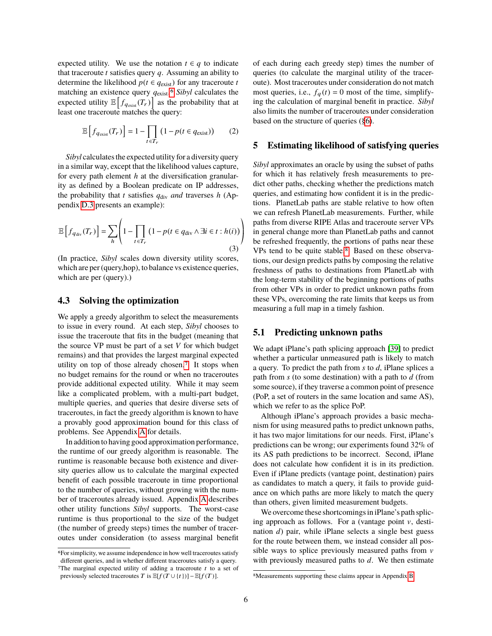expected utility. We use the notation  $t \in q$  to indicate that traceroute *t* satisfies query *q*. Assuming an ability to determine the likelihood  $p(t \in q_{\text{exist}})$  for any traceroute *t* matching an existence query *q*<sub>exist</sub>,<sup>[6](#page-5-2)</sup> *Sibyl* calculates the expected utility  $\mathbb{E}\left[f_{q_{\text{exist}}}(T_r)\right]$  as the probability that at least one traceroute matches the query:

$$
\mathbb{E}\left[f_{q_{\text{exist}}}(T_r)\right] = 1 - \prod_{t \in T_r} \left(1 - p(t \in q_{\text{exist}})\right) \tag{2}
$$

*Sibyl* calculates the expected utility for a diversity query in a similar way, except that the likelihood values capture, for every path element *h* at the diversification granularity as defined by a Boolean predicate on IP addresses, the probability that *t* satisfies  $q_{div}$  *and* traverses *h* (Appendix [D.3](#page-15-0) presents an example):

<span id="page-5-6"></span>
$$
\mathbb{E}\left[f_{q_{\text{div}}}(T_r)\right] = \sum_{h} \left(1 - \prod_{t \in T_r} \left(1 - p(t \in q_{\text{div}} \land \exists i \in t : h(i)\right)\right)
$$
\n(3)

(In practice, *Sibyl* scales down diversity utility scores, which are per (query,hop), to balance vs existence queries, which are per (query).)

#### <span id="page-5-1"></span>**4.3 Solving the optimization**

We apply a greedy algorithm to select the measurements to issue in every round. At each step, *Sibyl* chooses to issue the traceroute that fits in the budget (meaning that the source VP must be part of a set *V* for which budget remains) and that provides the largest marginal expected utility on top of those already chosen.[7](#page-5-3) It stops when no budget remains for the round or when no traceroutes provide additional expected utility. While it may seem like a complicated problem, with a multi-part budget, multiple queries, and queries that desire diverse sets of traceroutes, in fact the greedy algorithm is known to have a provably good approximation bound for this class of problems. See Appendix [A](#page-12-0) for details.

In addition to having good approximation performance, the runtime of our greedy algorithm is reasonable. The runtime is reasonable because both existence and diversity queries allow us to calculate the marginal expected benefit of each possible traceroute in time proportional to the number of queries, without growing with the number of traceroutes already issued. Appendix [A](#page-12-0) describes other utility functions *Sibyl* supports. The worst-case runtime is thus proportional to the size of the budget (the number of greedy steps) times the number of traceroutes under consideration (to assess marginal benefit of each during each greedy step) times the number of queries (to calculate the marginal utility of the traceroute). Most traceroutes under consideration do not match most queries, i.e.,  $f_q(t) = 0$  most of the time, simplifying the calculation of marginal benefit in practice. *Sibyl* also limits the number of traceroutes under consideration based on the structure of queries ([§6\)](#page-6-0).

#### <span id="page-5-0"></span>**5 Estimating likelihood of satisfying queries**

*Sibyl* approximates an oracle by using the subset of paths for which it has relatively fresh measurements to predict other paths, checking whether the predictions match queries, and estimating how confident it is in the predictions. PlanetLab paths are stable relative to how often we can refresh PlanetLab measurements. Further, while paths from diverse RIPE Atlas and traceroute server VPs in general change more than PlanetLab paths and cannot be refreshed frequently, the portions of paths near these VPs tend to be quite stable.[8](#page-5-4) Based on these observations, our design predicts paths by composing the relative freshness of paths to destinations from PlanetLab with the long-term stability of the beginning portions of paths from other VPs in order to predict unknown paths from these VPs, overcoming the rate limits that keeps us from measuring a full map in a timely fashion.

#### <span id="page-5-5"></span>**5.1 Predicting unknown paths**

We adapt iPlane's path splicing approach [\[39\]](#page-19-26) to predict whether a particular unmeasured path is likely to match a query. To predict the path from *s* to *d*, iPlane splices a path from *s* (to some destination) with a path to *d* (from some source), if they traverse a common point of presence (PoP, a set of routers in the same location and same AS), which we refer to as the splice PoP.

Although iPlane's approach provides a basic mechanism for using measured paths to predict unknown paths, it has two major limitations for our needs. First, iPlane's predictions can be wrong; our experiments found 32% of its AS path predictions to be incorrect. Second, iPlane does not calculate how confident it is in its prediction. Even if iPlane predicts (vantage point, destination) pairs as candidates to match a query, it fails to provide guidance on which paths are more likely to match the query than others, given limited measurement budgets.

We overcome these shortcomings in iPlane's path splicing approach as follows. For a (vantage point  $\nu$ , destination *d*) pair, while iPlane selects a single best guess for the route between them, we instead consider all possible ways to splice previously measured paths from  $\nu$ with previously measured paths to *d*. We then estimate

<span id="page-5-3"></span><span id="page-5-2"></span><sup>6</sup>For simplicity, we assume independence in how well traceroutes satisfy different queries, and in whether different traceroutes satisfy a query. <sup>7</sup>The marginal expected utility of adding a traceroute  $t$  to a set of previously selected traceroutes T is  $\mathbb{E}[f(T \cup \{t\})] - \mathbb{E}[f(T)]$ .

<span id="page-5-4"></span><sup>8</sup>Measurements supporting these claims appear in Appendix [B.](#page-12-1)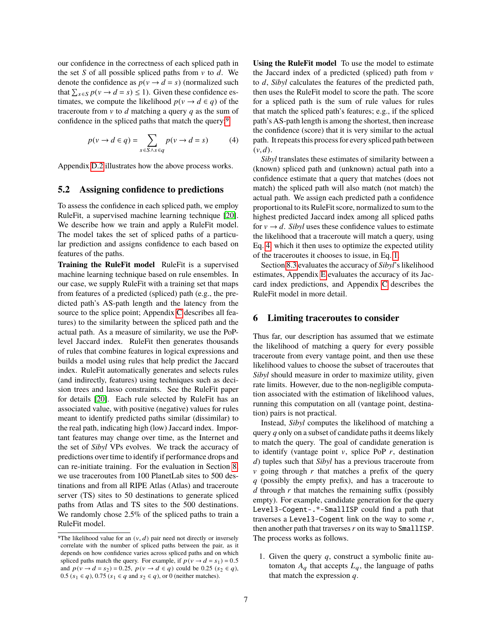our confidence in the correctness of each spliced path in the set *S* of all possible spliced paths from  $v$  to  $d$ . We denote the confidence as  $p(v \rightarrow d = s)$  (normalized such that  $\sum_{s \in S} p(v \to d = s) \le 1$ ). Given these confidence estimates, we compute the likelihood  $p(v \rightarrow d \in q)$  of the traceroute from v to *d* matching a query *q* as the sum of confidence in the spliced paths that match the query:[9](#page-6-2)

<span id="page-6-3"></span>
$$
p(v \to d \in q) = \sum_{s \in S \land s \in q} p(v \to d = s)
$$
 (4)

Appendix [D.2](#page-14-0) illustrates how the above process works.

#### <span id="page-6-1"></span>**5.2 Assigning confidence to predictions**

To assess the confidence in each spliced path, we employ RuleFit, a supervised machine learning technique [\[20\]](#page-18-25). We describe how we train and apply a RuleFit model. The model takes the set of spliced paths of a particular prediction and assigns confidence to each based on features of the paths.

**Training the RuleFit model** RuleFit is a supervised machine learning technique based on rule ensembles. In our case, we supply RuleFit with a training set that maps from features of a predicted (spliced) path (e.g., the predicted path's AS-path length and the latency from the source to the splice point; Appendix [C](#page-13-0) describes all features) to the similarity between the spliced path and the actual path. As a measure of similarity, we use the PoPlevel Jaccard index. RuleFit then generates thousands of rules that combine features in logical expressions and builds a model using rules that help predict the Jaccard index. RuleFit automatically generates and selects rules (and indirectly, features) using techniques such as decision trees and lasso constraints. See the RuleFit paper for details [\[20\]](#page-18-25). Each rule selected by RuleFit has an associated value, with positive (negative) values for rules meant to identify predicted paths similar (dissimilar) to the real path, indicating high (low) Jaccard index. Important features may change over time, as the Internet and the set of *Sibyl* VPs evolves. We track the accuracy of predictions over time to identify if performance drops and can re-initiate training. For the evaluation in Section [8,](#page-7-1) we use traceroutes from 100 PlanetLab sites to 500 destinations and from all RIPE Atlas (Atlas) and traceroute server (TS) sites to 50 destinations to generate spliced paths from Atlas and TS sites to the 500 destinations. We randomly chose 2.5% of the spliced paths to train a RuleFit model.

**Using the RuleFit model** To use the model to estimate the Jaccard index of a predicted (spliced) path from  $v$ to *d*, *Sibyl* calculates the features of the predicted path, then uses the RuleFit model to score the path. The score for a spliced path is the sum of rule values for rules that match the spliced path's features; e.g., if the spliced path's AS-path length is among the shortest, then increase the confidence (score) that it is very similar to the actual path. It repeats this process for every spliced path between  $(v, d)$ .

*Sibyl* translates these estimates of similarity between a (known) spliced path and (unknown) actual path into a confidence estimate that a query that matches (does not match) the spliced path will also match (not match) the actual path. We assign each predicted path a confidence proportional to its RuleFit score, normalized to sum to the highest predicted Jaccard index among all spliced paths for  $v \rightarrow d$ . *Sibyl* uses these confidence values to estimate the likelihood that a traceroute will match a query, using Eq. [4,](#page-6-3) which it then uses to optimize the expected utility of the traceroutes it chooses to issue, in Eq. [1.](#page-4-4)

Section [8.3](#page-10-0) evaluates the accuracy of *Sibyl*'s likelihood estimates, Appendix [E](#page-15-1) evaluates the accuracy of its Jaccard index predictions, and Appendix [C](#page-13-0) describes the RuleFit model in more detail.

#### <span id="page-6-0"></span>**6 Limiting traceroutes to consider**

Thus far, our description has assumed that we estimate the likelihood of matching a query for every possible traceroute from every vantage point, and then use these likelihood values to choose the subset of traceroutes that *Sibyl* should measure in order to maximize utility, given rate limits. However, due to the non-negligible computation associated with the estimation of likelihood values, running this computation on all (vantage point, destination) pairs is not practical.

Instead, *Sibyl* computes the likelihood of matching a query *q* only on a subset of candidate paths it deems likely to match the query. The goal of candidate generation is to identify (vantage point  $v$ , splice PoP  $r$ , destination *d*) tuples such that *Sibyl* has a previous traceroute from  $v$  going through  $r$  that matches a prefix of the query *q* (possibly the empty prefix), and has a traceroute to *d* through *r* that matches the remaining suffix (possibly empty). For example, candidate generation for the query Level3-Cogent-.\*-SmallISP could find a path that traverses a Level3-Cogent link on the way to some *r*, then another path that traverses*r* on its way to SmallISP. The process works as follows.

1. Given the query *q*, construct a symbolic finite automaton  $A_q$  that accepts  $L_q$ , the language of paths that match the expression *q*.

<span id="page-6-2"></span><sup>&</sup>lt;sup>9</sup>The likelihood value for an  $(v, d)$  pair need not directly or inversely correlate with the number of spliced paths between the pair, as it depends on how confidence varies across spliced paths and on which spliced paths match the query. For example, if  $p(v \rightarrow d = s_1) = 0.5$ and  $p(v \to d = s_2) = 0.25$ ,  $p(v \to d \in q)$  could be 0.25 ( $s_2 \in q$ ), 0.5 ( $s_1 \in q$ ), 0.75 ( $s_1 \in q$  and  $s_2 \in q$ ), or 0 (neither matches).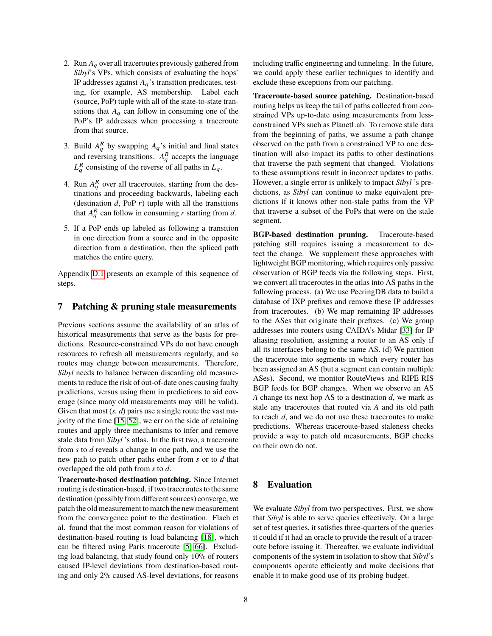- 2. Run  $A_q$  over all traceroutes previously gathered from *Sibyl*'s VPs, which consists of evaluating the hops' IP addresses against  $A_q$ 's transition predicates, testing, for example, AS membership. Label each (source, PoP) tuple with all of the state-to-state transitions that  $A_q$  can follow in consuming one of the PoP's IP addresses when processing a traceroute from that source.
- 3. Build  $A_q^R$  by swapping  $A_q$ 's initial and final states and reversing transitions.  $A_q^R$  accepts the language  $L_q^R$  consisting of the reverse of all paths in  $L_q$ .
- 4. Run  $A_q^R$  over all traceroutes, starting from the destinations and proceeding backwards, labeling each (destination  $d$ , PoP  $r$ ) tuple with all the transitions that  $A_q^R$  can follow in consuming *r* starting from *d*.
- 5. If a PoP ends up labeled as following a transition in one direction from a source and in the opposite direction from a destination, then the spliced path matches the entire query.

Appendix [D.1](#page-13-1) presents an example of this sequence of steps.

## <span id="page-7-0"></span>**7 Patching & pruning stale measurements**

Previous sections assume the availability of an atlas of historical measurements that serve as the basis for predictions. Resource-constrained VPs do not have enough resources to refresh all measurements regularly, and so routes may change between measurements. Therefore, *Sibyl* needs to balance between discarding old measurements to reduce the risk of out-of-date ones causing faulty predictions, versus using them in predictions to aid coverage (since many old measurements may still be valid). Given that most  $(s, d)$  pairs use a single route the vast majority of the time [\[15,](#page-18-18) [52\]](#page-19-4), we err on the side of retaining routes and apply three mechanisms to infer and remove stale data from *Sibyl* 's atlas. In the first two, a traceroute from *s* to *d* reveals a change in one path, and we use the new path to patch other paths either from *s* or to *d* that overlapped the old path from *s* to *d*.

**Traceroute-based destination patching.** Since Internet routing is destination-based, if two traceroutes to the same destination (possibly from different sources) converge, we patch the old measurement to match the new measurement from the convergence point to the destination. Flach et al. found that the most common reason for violations of destination-based routing is load balancing [\[18\]](#page-18-26), which can be filtered using Paris traceroute [\[5,](#page-18-27) [66\]](#page-19-27). Excluding load balancing, that study found only 10% of routers caused IP-level deviations from destination-based routing and only 2% caused AS-level deviations, for reasons including traffic engineering and tunneling. In the future, we could apply these earlier techniques to identify and exclude these exceptions from our patching.

**Traceroute-based source patching.** Destination-based routing helps us keep the tail of paths collected from constrained VPs up-to-date using measurements from lessconstrained VPs such as PlanetLab. To remove stale data from the beginning of paths, we assume a path change observed on the path from a constrained VP to one destination will also impact its paths to other destinations that traverse the path segment that changed. Violations to these assumptions result in incorrect updates to paths. However, a single error is unlikely to impact *Sibyl* 's predictions, as *Sibyl* can continue to make equivalent predictions if it knows other non-stale paths from the VP that traverse a subset of the PoPs that were on the stale segment.

**BGP-based destination pruning.** Traceroute-based patching still requires issuing a measurement to detect the change. We supplement these approaches with lightweight BGP monitoring, which requires only passive observation of BGP feeds via the following steps. First, we convert all traceroutes in the atlas into AS paths in the following process. (a) We use PeeringDB data to build a database of IXP prefixes and remove these IP addresses from traceroutes. (b) We map remaining IP addresses to the ASes that originate their prefixes. (c) We group addresses into routers using CAIDA's Midar [\[33\]](#page-18-28) for IP aliasing resolution, assigning a router to an AS only if all its interfaces belong to the same AS. (d) We partition the traceroute into segments in which every router has been assigned an AS (but a segment can contain multiple ASes). Second, we monitor RouteViews and RIPE RIS BGP feeds for BGP changes. When we observe an AS *A* change its next hop AS to a destination *d*, we mark as stale any traceroutes that routed via *A* and its old path to reach *d*, and we do not use these traceroutes to make predictions. Whereas traceroute-based staleness checks provide a way to patch old measurements, BGP checks on their own do not.

## <span id="page-7-1"></span>**8 Evaluation**

We evaluate *Sibyl* from two perspectives. First, we show that *Sibyl* is able to serve queries effectively. On a large set of test queries, it satisfies three-quarters of the queries it could if it had an oracle to provide the result of a traceroute before issuing it. Thereafter, we evaluate individual components of the system in isolation to show that *Sibyl*'s components operate efficiently and make decisions that enable it to make good use of its probing budget.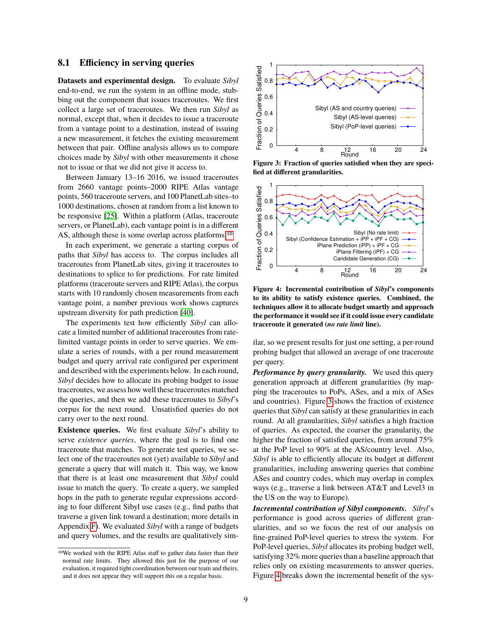#### <span id="page-8-3"></span>**8.1 Efficiency in serving queries**

**Datasets and experimental design.** To evaluate *Sibyl* end-to-end, we run the system in an offline mode, stubbing out the component that issues traceroutes. We first collect a large set of traceroutes. We then run *Sibyl* as normal, except that, when it decides to issue a traceroute from a vantage point to a destination, instead of issuing a new measurement, it fetches the existing measurement between that pair. Offline analysis allows us to compare choices made by *Sibyl* with other measurements it chose not to issue or that we did not give it access to.

Between January 13–16 2016, we issued traceroutes from 2660 vantage points–2000 RIPE Atlas vantage points, 560 traceroute servers, and 100 PlanetLab sites–to 1000 destinations, chosen at random from a list known to be responsive [\[25\]](#page-18-23). Within a platform (Atlas, traceroute servers, or PlanetLab), each vantage point is in a different AS, although these is some overlap across platforms.[10](#page-8-0)

In each experiment, we generate a starting corpus of paths that *Sibyl* has access to. The corpus includes all traceroutes from PlanetLab sites, giving it traceroutes to destinations to splice to for predictions. For rate limited platforms (traceroute servers and RIPE Atlas), the corpus starts with 10 randomly chosen measurements from each vantage point, a number previous work shows captures upstream diversity for path prediction [\[40\]](#page-19-21).

The experiments test how efficiently *Sibyl* can allocate a limited number of additional traceroutes from ratelimited vantage points in order to serve queries. We emulate a series of rounds, with a per round measurement budget and query arrival rate configured per experiment and described with the experiments below. In each round, *Sibyl* decides how to allocate its probing budget to issue traceroutes, we assess how well these traceroutes matched the queries, and then we add these traceroutes to *Sibyl*'s corpus for the next round. Unsatisfied queries do not carry over to the next round.

**Existence queries.** We first evaluate *Sibyl*'s ability to serve *existence queries*, where the goal is to find one traceroute that matches. To generate test queries, we select one of the traceroutes not (yet) available to *Sibyl* and generate a query that will match it. This way, we know that there is at least one measurement that *Sibyl* could issue to match the query. To create a query, we sampled hops in the path to generate regular expressions according to four different Sibyl use cases (e.g., find paths that traverse a given link toward a destination; more details in Appendix [F\)](#page-16-0). We evaluated *Sibyl* with a range of budgets and query volumes, and the results are qualitatively sim-

<span id="page-8-1"></span>

**Figure 3: Fraction of queries satisfied when they are specified at different granularities.**

<span id="page-8-2"></span>

**Figure 4: Incremental contribution of** *Sibyl***'s components to its ability to satisfy existence queries. Combined, the techniques allow it to allocate budget smartly and approach the performance it would see if it could issue every candidate traceroute it generated (***no rate limit* **line).**

ilar, so we present results for just one setting, a per-round probing budget that allowed an average of one traceroute per query.

*Performance by query granularity.* We used this query generation approach at different granularities (by mapping the traceroutes to PoPs, ASes, and a mix of ASes and countries). Figure [3](#page-8-1) shows the fraction of existence queries that *Sibyl* can satisfy at these granularities in each round. At all granularities, *Sibyl* satisfies a high fraction of queries. As expected, the coarser the granularity, the higher the fraction of satisfied queries, from around 75% at the PoP level to 90% at the AS/country level. Also, *Sibyl* is able to efficiently allocate its budget at different granularities, including answering queries that combine ASes and country codes, which may overlap in complex ways (e.g., traverse a link between AT&T and Level3 in the US on the way to Europe).

*Incremental contribution of Sibyl components. Sibyl*'s performance is good across queries of different granularities, and so we focus the rest of our analysis on fine-grained PoP-level queries to stress the system. For PoP-level queries, *Sibyl* allocates its probing budget well, satisfying 32% more queries than a baseline approach that relies only on existing measurements to answer queries. Figure [4](#page-8-2) breaks down the incremental benefit of the sys-

<span id="page-8-0"></span><sup>10</sup>We worked with the RIPE Atlas staff to gather data faster than their normal rate limits. They allowed this just for the purpose of our evaluation, it required tight coordination between our team and theirs, and it does not appear they will support this on a regular basis.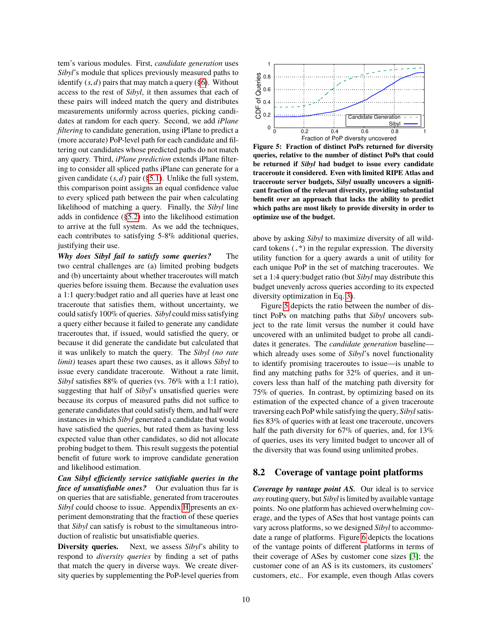tem's various modules. First, *candidate generation* uses *Sibyl*'s module that splices previously measured paths to identify  $(s, d)$  pairs that may match a query  $(\S6)$ . Without access to the rest of *Sibyl*, it then assumes that each of these pairs will indeed match the query and distributes measurements uniformly across queries, picking candidates at random for each query. Second, we add *iPlane filtering* to candidate generation, using iPlane to predict a (more accurate) PoP-level path for each candidate and filtering out candidates whose predicted paths do not match any query. Third, *iPlane prediction* extends iPlane filtering to consider all spliced paths iPlane can generate for a given candidate (*s*, *<sup>d</sup>*) pair ([§5.1\)](#page-5-5). Unlike the full system, this comparison point assigns an equal confidence value to every spliced path between the pair when calculating likelihood of matching a query. Finally, the *Sibyl* line adds in confidence ([§5.2\)](#page-6-1) into the likelihood estimation to arrive at the full system. As we add the techniques, each contributes to satisfying 5-8% additional queries, justifying their use.

*Why does Sibyl fail to satisfy some queries?* The two central challenges are (a) limited probing budgets and (b) uncertainty about whether traceroutes will match queries before issuing them. Because the evaluation uses a 1:1 query:budget ratio and all queries have at least one traceroute that satisfies them, without uncertainty, we could satisfy 100% of queries. *Sibyl* could miss satisfying a query either because it failed to generate any candidate traceroutes that, if issued, would satisfied the query, or because it did generate the candidate but calculated that it was unlikely to match the query. The *Sibyl (no rate limit)* teases apart these two causes, as it allows *Sibyl* to issue every candidate traceroute. Without a rate limit, *Sibyl* satisfies 88% of queries (vs. 76% with a 1:1 ratio), suggesting that half of *Sibyl*'s unsatisfied queries were because its corpus of measured paths did not suffice to generate candidates that could satisfy them, and half were instances in which *Sibyl* generated a candidate that would have satisfied the queries, but rated them as having less expected value than other candidates, so did not allocate probing budget to them. This result suggests the potential benefit of future work to improve candidate generation and likelihood estimation.

*Can Sibyl efficiently service satisfiable queries in the face of unsatisfiable ones?* Our evaluation thus far is on queries that are satisfiable, generated from traceroutes *Sibyl* could choose to issue. Appendix [H](#page-17-1) presents an experiment demonstrating that the fraction of these queries that *Sibyl* can satisfy is robust to the simultaneous introduction of realistic but unsatisfiable queries.

**Diversity queries.** Next, we assess *Sibyl*'s ability to respond to *diversity queries* by finding a set of paths that match the query in diverse ways. We create diversity queries by supplementing the PoP-level queries from

<span id="page-9-1"></span>

**Figure 5: Fraction of distinct PoPs returned for diversity queries, relative to the number of distinct PoPs that could be returned if** *Sibyl* **had budget to issue every candidate traceroute it considered. Even with limited RIPE Atlas and traceroute server budgets,** *Sibyl* **usually uncovers a significant fraction of the relevant diversity, providing substantial benefit over an approach that lacks the ability to predict which paths are most likely to provide diversity in order to optimize use of the budget.**

above by asking *Sibyl* to maximize diversity of all wildcard tokens (.\*) in the regular expression. The diversity utility function for a query awards a unit of utility for each unique PoP in the set of matching traceroutes. We set a 1:4 query:budget ratio (but *Sibyl* may distribute this budget unevenly across queries according to its expected diversity optimization in Eq. [3\)](#page-5-6).

Figure [5](#page-9-1) depicts the ratio between the number of distinct PoPs on matching paths that *Sibyl* uncovers subject to the rate limit versus the number it could have uncovered with an unlimited budget to probe all candidates it generates. The *candidate generation* baseline which already uses some of *Sibyl*'s novel functionality to identify promising traceroutes to issue—is unable to find any matching paths for 32% of queries, and it uncovers less than half of the matching path diversity for 75% of queries. In contrast, by optimizing based on its estimation of the expected chance of a given traceroute traversing each PoP while satisfying the query, *Sibyl*satisfies 83% of queries with at least one traceroute, uncovers half the path diversity for 67% of queries, and, for 13% of queries, uses its very limited budget to uncover all of the diversity that was found using unlimited probes.

#### <span id="page-9-0"></span>**8.2 Coverage of vantage point platforms**

*Coverage by vantage point AS.* Our ideal is to service *any* routing query, but *Sibyl* is limited by available vantage points. No one platform has achieved overwhelming coverage, and the types of ASes that host vantage points can vary across platforms, so we designed *Sibyl* to accommodate a range of platforms. Figure [6](#page-10-1) depicts the locations of the vantage points of different platforms in terms of their coverage of ASes by customer cone sizes [\[3\]](#page-18-29); the customer cone of an AS is its customers, its customers' customers, etc.. For example, even though Atlas covers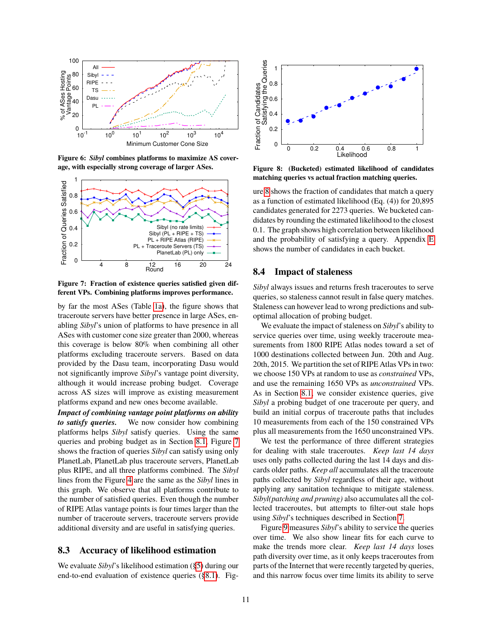<span id="page-10-1"></span>

**Figure 6:** *Sibyl* **combines platforms to maximize AS coverage, with especially strong coverage of larger ASes.**

<span id="page-10-2"></span>

**Figure 7: Fraction of existence queries satisfied given different VPs. Combining platforms improves performance.**

by far the most ASes (Table [1a\)](#page-2-0), the figure shows that traceroute servers have better presence in large ASes, enabling *Sibyl*'s union of platforms to have presence in all ASes with customer cone size greater than 2000, whereas this coverage is below 80% when combining all other platforms excluding traceroute servers. Based on data provided by the Dasu team, incorporating Dasu would not significantly improve *Sibyl*'s vantage point diversity, although it would increase probing budget. Coverage across AS sizes will improve as existing measurement platforms expand and new ones become available.

*Impact of combining vantage point platforms on ability to satisfy queries.* We now consider how combining platforms helps *Sibyl* satisfy queries. Using the same queries and probing budget as in Section [8.1,](#page-8-3) Figure [7](#page-10-2) shows the fraction of queries *Sibyl* can satisfy using only PlanetLab, PlanetLab plus traceroute servers, PlanetLab plus RIPE, and all three platforms combined. The *Sibyl* lines from the Figure [4](#page-8-2) are the same as the *Sibyl* lines in this graph. We observe that all platforms contribute to the number of satisfied queries. Even though the number of RIPE Atlas vantage points is four times larger than the number of traceroute servers, traceroute servers provide additional diversity and are useful in satisfying queries.

#### <span id="page-10-0"></span>**8.3 Accuracy of likelihood estimation**

We evaluate *Sibyl*'s likelihood estimation ([§5\)](#page-5-0) during our end-to-end evaluation of existence queries ([§8.1\)](#page-8-3). Fig-

<span id="page-10-3"></span>

**Figure 8: (Bucketed) estimated likelihood of candidates matching queries vs actual fraction matching queries.**

ure [8](#page-10-3) shows the fraction of candidates that match a query as a function of estimated likelihood (Eq. (4)) for 20,895 candidates generated for 2273 queries. We bucketed candidates by rounding the estimated likelihood to the closest 0.1. The graph shows high correlation between likelihood and the probability of satisfying a query. Appendix [E](#page-15-1) shows the number of candidates in each bucket.

#### <span id="page-10-4"></span>**8.4 Impact of staleness**

*Sibyl* always issues and returns fresh traceroutes to serve queries, so staleness cannot result in false query matches. Staleness can however lead to wrong predictions and suboptimal allocation of probing budget.

We evaluate the impact of staleness on *Sibyl*'s ability to service queries over time, using weekly traceroute measurements from 1800 RIPE Atlas nodes toward a set of 1000 destinations collected between Jun. 20th and Aug. 20th, 2015. We partition the set of RIPE Atlas VPs in two: we choose 150 VPs at random to use as *constrained* VPs, and use the remaining 1650 VPs as *unconstrained* VPs. As in Section [8.1,](#page-8-3) we consider existence queries, give *Sibyl* a probing budget of one traceroute per query, and build an initial corpus of traceroute paths that includes 10 measurements from each of the 150 constrained VPs plus all measurements from the 1650 unconstrained VPs.

We test the performance of three different strategies for dealing with stale traceroutes. *Keep last 14 days* uses only paths collected during the last 14 days and discards older paths. *Keep all* accumulates all the traceroute paths collected by *Sibyl* regardless of their age, without applying any sanitation technique to mitigate staleness. *Sibyl(patching and pruning)* also accumulates all the collected traceroutes, but attempts to filter-out stale hops using *Sibyl*'s techniques described in Section [7.](#page-7-0)

Figure [9](#page-11-0) measures *Sibyl*'s ability to service the queries over time. We also show linear fits for each curve to make the trends more clear. *Keep last 14 days* loses path diversity over time, as it only keeps traceroutes from parts of the Internet that were recently targeted by queries, and this narrow focus over time limits its ability to serve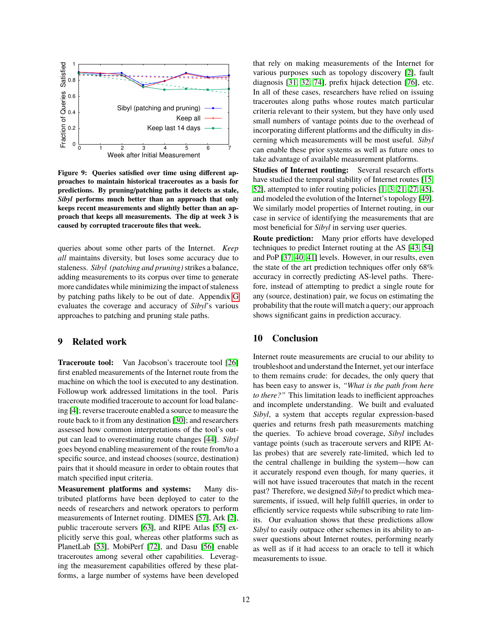<span id="page-11-0"></span>

**Figure 9: Queries satisfied over time using different approaches to maintain historical traceroutes as a basis for predictions. By pruning/patching paths it detects as stale,** *Sibyl* **performs much better than an approach that only keeps recent measurements and slightly better than an approach that keeps all measurements. The dip at week 3 is caused by corrupted traceroute files that week.**

queries about some other parts of the Internet. *Keep all* maintains diversity, but loses some accuracy due to staleness. *Sibyl (patching and pruning)*strikes a balance, adding measurements to its corpus over time to generate more candidates while minimizing the impact of staleness by patching paths likely to be out of date. Appendix [G](#page-16-1) evaluates the coverage and accuracy of *Sibyl*'s various approaches to patching and pruning stale paths.

#### **9 Related work**

**Traceroute tool:** Van Jacobson's traceroute tool [\[26\]](#page-18-30) first enabled measurements of the Internet route from the machine on which the tool is executed to any destination. Followup work addressed limitations in the tool. Paris traceroute modified traceroute to account for load balancing [\[4\]](#page-18-31); reverse traceroute enabled a source to measure the route back to it from any destination [\[30\]](#page-18-24); and researchers assessed how common interpretations of the tool's output can lead to overestimating route changes [\[44\]](#page-19-28). *Sibyl* goes beyond enabling measurement of the route from/to a specific source, and instead chooses (source, destination) pairs that it should measure in order to obtain routes that match specified input criteria.

**Measurement platforms and systems:** Many distributed platforms have been deployed to cater to the needs of researchers and network operators to perform measurements of Internet routing. DIMES [\[57\]](#page-19-11), Ark [\[2\]](#page-18-10), public traceroute servers [\[63\]](#page-19-18), and RIPE Atlas [\[55\]](#page-19-14) explicitly serve this goal, whereas other platforms such as PlanetLab [\[53\]](#page-19-29), MobiPerf [\[72\]](#page-19-30), and Dasu [\[56\]](#page-19-15) enable traceroutes among several other capabilities. Leveraging the measurement capabilities offered by these platforms, a large number of systems have been developed that rely on making measurements of the Internet for various purposes such as topology discovery [\[2\]](#page-18-10), fault diagnosis [\[31,](#page-18-7) [32,](#page-18-8) [74\]](#page-19-8), prefix hijack detection [\[76\]](#page-19-9), etc. In all of these cases, researchers have relied on issuing traceroutes along paths whose routes match particular criteria relevant to their system, but they have only used small numbers of vantage points due to the overhead of incorporating different platforms and the difficulty in discerning which measurements will be most useful. *Sibyl* can enable these prior systems as well as future ones to take advantage of available measurement platforms.

**Studies of Internet routing:** Several research efforts have studied the temporal stability of Internet routes [\[15,](#page-18-18) [52\]](#page-19-4), attempted to infer routing policies [\[1,](#page-18-13) [3,](#page-18-29) [21,](#page-18-32) [27,](#page-18-16) [45\]](#page-19-31), and modeled the evolution of the Internet's topology [\[49\]](#page-19-32). We similarly model properties of Internet routing, in our case in service of identifying the measurements that are most beneficial for *Sibyl* in serving user queries.

**Route prediction:** Many prior efforts have developed techniques to predict Internet routing at the AS [\[43,](#page-19-33) [54\]](#page-19-34) and PoP [\[37,](#page-18-33) [40,](#page-19-21) [41\]](#page-19-10) levels. However, in our results, even the state of the art prediction techniques offer only 68% accuracy in correctly predicting AS-level paths. Therefore, instead of attempting to predict a single route for any (source, destination) pair, we focus on estimating the probability that the route will match a query; our approach shows significant gains in prediction accuracy.

## **10 Conclusion**

Internet route measurements are crucial to our ability to troubleshoot and understand the Internet, yet our interface to them remains crude: for decades, the only query that has been easy to answer is, *"What is the path from here to there?"* This limitation leads to inefficient approaches and incomplete understanding. We built and evaluated *Sibyl*, a system that accepts regular expression-based queries and returns fresh path measurements matching the queries. To achieve broad coverage, *Sibyl* includes vantage points (such as traceroute servers and RIPE Atlas probes) that are severely rate-limited, which led to the central challenge in building the system—how can it accurately respond even though, for many queries, it will not have issued traceroutes that match in the recent past? Therefore, we designed *Sibyl* to predict which measurements, if issued, will help fulfill queries, in order to efficiently service requests while subscribing to rate limits. Our evaluation shows that these predictions allow *Sibyl* to easily outpace other schemes in its ability to answer questions about Internet routes, performing nearly as well as if it had access to an oracle to tell it which measurements to issue.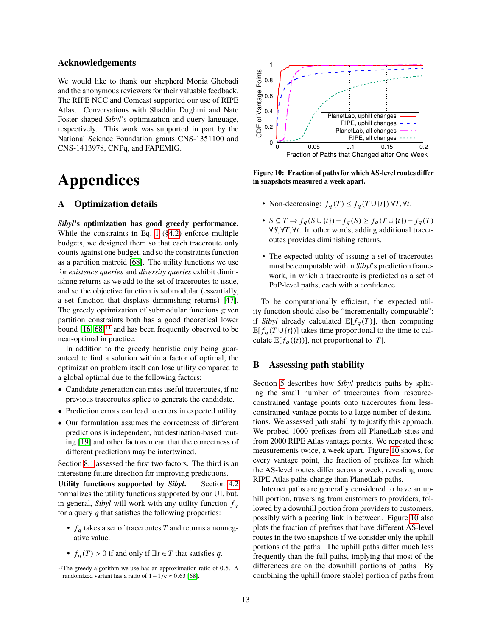#### **Acknowledgements**

We would like to thank our shepherd Monia Ghobadi and the anonymous reviewers for their valuable feedback. The RIPE NCC and Comcast supported our use of RIPE Atlas. Conversations with Shaddin Dughmi and Nate Foster shaped *Sibyl*'s optimization and query language, respectively. This work was supported in part by the National Science Foundation grants CNS-1351100 and CNS-1413978, CNPq, and FAPEMIG.

# **Appendices**

# <span id="page-12-0"></span>**A Optimization details**

*Sibyl***'s optimization has good greedy performance.** While the constraints in Eq. [1](#page-4-4) ([§4.2\)](#page-4-2) enforce multiple budgets, we designed them so that each traceroute only counts against one budget, and so the constraints function as a partition matroid [\[68\]](#page-19-35). The utility functions we use for *existence queries* and *diversity queries* exhibit diminishing returns as we add to the set of traceroutes to issue, and so the objective function is submodular (essentially, a set function that displays diminishing returns) [\[47\]](#page-19-36). The greedy optimization of submodular functions given partition constraints both has a good theoretical lower bound  $[16, 68]$  $[16, 68]$ <sup>[11](#page-12-2)</sup> and has been frequently observed to be near-optimal in practice.

In addition to the greedy heuristic only being guaranteed to find a solution within a factor of optimal, the optimization problem itself can lose utility compared to a global optimal due to the following factors:

- Candidate generation can miss useful traceroutes, if no previous traceroutes splice to generate the candidate.
- Prediction errors can lead to errors in expected utility.
- Our formulation assumes the correctness of different predictions is independent, but destination-based routing [\[19\]](#page-18-35) and other factors mean that the correctness of different predictions may be intertwined.

Section [8.1](#page-8-2) assessed the first two factors. The third is an interesting future direction for improving predictions.

**Utility functions supported by** *Sibyl***.** Section [4.2](#page-4-2) formalizes the utility functions supported by our UI, but, in general, *Sibyl* will work with any utility function  $f_q$ for a query *q* that satisfies the following properties:

- $f_q$  takes a set of traceroutes  $T$  and returns a nonnegative value.
- $f_q(T) > 0$  if and only if  $\exists t \in T$  that satisfies q.

<span id="page-12-3"></span>

**Figure 10: Fraction of paths for which AS-level routes differ in snapshots measured a week apart.**

- Non-decreasing:  $f_a(T) \leq f_a(T \cup \{t\}) \forall T, \forall t$ .
- *S* ⊆ *T* ⇒ *f*<sup>q</sup> (*S* ∪ {*t*}) − *f*<sup>q</sup> (*S*) ≥ *f*<sup>q</sup> (*T* ∪ {*t*}) − *f*<sup>q</sup> (*T*) <sup>∀</sup>*S*,∀*T*,∀*t*. In other words, adding additional traceroutes provides diminishing returns.
- The expected utility of issuing a set of traceroutes must be computable within *Sibyl*'s prediction framework, in which a traceroute is predicted as a set of PoP-level paths, each with a confidence.

To be computationally efficient, the expected utility function should also be "incrementally computable": if *Sibyl* already calculated  $\mathbb{E}[f_q(T)]$ , then computing  $\mathbb{E}[f_q(T \cup \{t\})]$  takes time proportional to the time to calculate  $\mathbb{E}[f_q(\{t\})]$ , not proportional to |*T*|.

#### <span id="page-12-1"></span>**B Assessing path stability**

Section [5](#page-5-0) describes how *Sibyl* predicts paths by splicing the small number of traceroutes from resourceconstrained vantage points onto traceroutes from lessconstrained vantage points to a large number of destinations. We assessed path stability to justify this approach. We probed 1000 prefixes from all PlanetLab sites and from 2000 RIPE Atlas vantage points. We repeated these measurements twice, a week apart. Figure [10](#page-12-3) shows, for every vantage point, the fraction of prefixes for which the AS-level routes differ across a week, revealing more RIPE Atlas paths change than PlanetLab paths.

Internet paths are generally considered to have an uphill portion, traversing from customers to providers, followed by a downhill portion from providers to customers, possibly with a peering link in between. Figure [10](#page-12-3) also plots the fraction of prefixes that have different AS-level routes in the two snapshots if we consider only the uphill portions of the paths. The uphill paths differ much less frequently than the full paths, implying that most of the differences are on the downhill portions of paths. By combining the uphill (more stable) portion of paths from

<span id="page-12-2"></span><sup>&</sup>lt;sup>11</sup>The greedy algorithm we use has an approximation ratio of 0.5. A randomized variant has a ratio of  $1 - 1/e \approx 0.63$  [\[68\]](#page-19-35).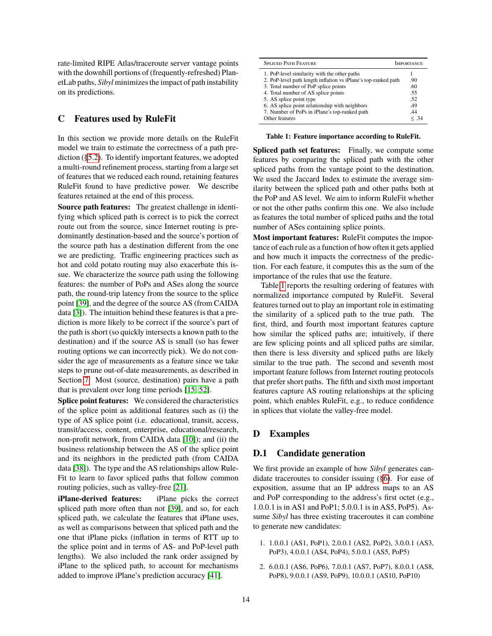rate-limited RIPE Atlas/traceroute server vantage points with the downhill portions of (frequently-refreshed) PlanetLab paths, *Sibyl* minimizes the impact of path instability on its predictions.

## <span id="page-13-0"></span>**C Features used by RuleFit**

In this section we provide more details on the RuleFit model we train to estimate the correctness of a path prediction ([§5.2\)](#page-6-1). To identify important features, we adopted a multi-round refinement process, starting from a large set of features that we reduced each round, retaining features RuleFit found to have predictive power. We describe features retained at the end of this process.

**Source path features:** The greatest challenge in identifying which spliced path is correct is to pick the correct route out from the source, since Internet routing is predominantly destination-based and the source's portion of the source path has a destination different from the one we are predicting. Traffic engineering practices such as hot and cold potato routing may also exacerbate this issue. We characterize the source path using the following features: the number of PoPs and ASes along the source path, the round-trip latency from the source to the splice point [\[39\]](#page-19-26), and the degree of the source AS (from CAIDA data [\[3\]](#page-18-29)). The intuition behind these features is that a prediction is more likely to be correct if the source's part of the path is short (so quickly intersects a known path to the destination) and if the source AS is small (so has fewer routing options we can incorrectly pick). We do not consider the age of measurements as a feature since we take steps to prune out-of-date measurements, as described in Section [7.](#page-7-0) Most (source, destination) pairs have a path that is prevalent over long time periods [\[15,](#page-18-18) [52\]](#page-19-4).

**Splice point features:** We considered the characteristics of the splice point as additional features such as (i) the type of AS splice point (i.e. educational, transit, access, transit/access, content, enterprise, educational/research, non-profit network, from CAIDA data [\[10\]](#page-18-36)); and (ii) the business relationship between the AS of the splice point and its neighbors in the predicted path (from CAIDA data [\[38\]](#page-19-37)). The type and the AS relationships allow Rule-Fit to learn to favor spliced paths that follow common routing policies, such as valley-free [\[21\]](#page-18-32).

**iPlane-derived features:** iPlane picks the correct spliced path more often than not [\[39\]](#page-19-26), and so, for each spliced path, we calculate the features that iPlane uses, as well as comparisons between that spliced path and the one that iPlane picks (inflation in terms of RTT up to the splice point and in terms of AS- and PoP-level path lengths). We also included the rank order assigned by iPlane to the spliced path, to account for mechanisms added to improve iPlane's prediction accuracy [\[41\]](#page-19-10).

<span id="page-13-2"></span>

| <b>SPLICED PATH FEATURE</b>                                    | <b>MPORTANCE</b> |  |
|----------------------------------------------------------------|------------------|--|
| 1. PoP-level similarity with the other paths                   |                  |  |
| 2. PoP-level path length inflation vs iPlane's top-ranked path | .90              |  |
| 3. Total number of PoP splice points                           | .60              |  |
| 4. Total number of AS splice points                            | .55              |  |
| 5. AS splice point type                                        | .52              |  |
| 6. AS splice point relationship with neighbors                 | .49              |  |
| 7. Number of PoPs in iPlane's top-ranked path                  | .44              |  |
| Other features                                                 | < 34             |  |

**Table 1: Feature importance according to RuleFit.**

**Spliced path set features:** Finally, we compute some features by comparing the spliced path with the other spliced paths from the vantage point to the destination. We used the Jaccard Index to estimate the average similarity between the spliced path and other paths both at the PoP and AS level. We aim to inform RuleFit whether or not the other paths confirm this one. We also include as features the total number of spliced paths and the total number of ASes containing splice points.

**Most important features:** RuleFit computes the importance of each rule as a function of how often it gets applied and how much it impacts the correctness of the prediction. For each feature, it computes this as the sum of the importance of the rules that use the feature.

Table [1](#page-13-2) reports the resulting ordering of features with normalized importance computed by RuleFit. Several features turned out to play an important role in estimating the similarity of a spliced path to the true path. The first, third, and fourth most important features capture how similar the spliced paths are; intuitively, if there are few splicing points and all spliced paths are similar, then there is less diversity and spliced paths are likely similar to the true path. The second and seventh most important feature follows from Internet routing protocols that prefer short paths. The fifth and sixth most important features capture AS routing relationships at the splicing point, which enables RuleFit, e.g., to reduce confidence in splices that violate the valley-free model.

## **D Examples**

#### <span id="page-13-1"></span>**D.1 Candidate generation**

We first provide an example of how *Sibyl* generates candidate traceroutes to consider issuing ([§6\)](#page-6-0). For ease of exposition, assume that an IP address maps to an AS and PoP corresponding to the address's first octet (e.g., 1.0.0.1 is in AS1 and PoP1; 5.0.0.1 is in AS5, PoP5). Assume *Sibyl* has three existing traceroutes it can combine to generate new candidates:

- 1. 1.0.0.1 (AS1, PoP1), 2.0.0.1 (AS2, PoP2), 3.0.0.1 (AS3, PoP3), 4.0.0.1 (AS4, PoP4), 5.0.0.1 (AS5, PoP5)
- 2. 6.0.0.1 (AS6, PoP6), 7.0.0.1 (AS7, PoP7), 8.0.0.1 (AS8, PoP8), 9.0.0.1 (AS9, PoP9), 10.0.0.1 (AS10, PoP10)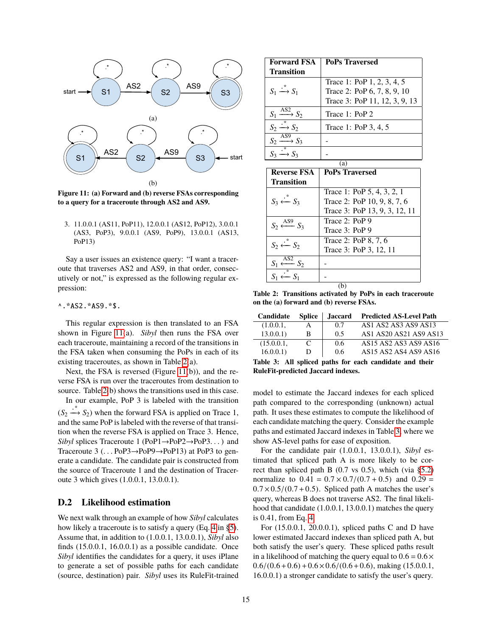<span id="page-14-1"></span>

**Figure 11: (a) Forward and (b) reverse FSAs corresponding to a query for a traceroute through AS2 and AS9.**

3. 11.0.0.1 (AS11, PoP11), 12.0.0.1 (AS12, PoP12), 3.0.0.1 (AS3, PoP3), 9.0.0.1 (AS9, PoP9), 13.0.0.1 (AS13, PoP13)

Say a user issues an existence query: "I want a traceroute that traverses AS2 and AS9, in that order, consecutively or not," is expressed as the following regular expression:

#### ^.\*AS2.\*AS9.\*\$.

This regular expression is then translated to an FSA shown in Figure [11\(](#page-14-1)a). *Sibyl* then runs the FSA over each traceroute, maintaining a record of the transitions in the FSA taken when consuming the PoPs in each of its existing traceroutes, as shown in Table [2\(](#page-14-2)a).

Next, the FSA is reversed (Figure [11\(](#page-14-1)b)), and the reverse FSA is run over the traceroutes from destination to source. Table [2\(](#page-14-2)b) shows the transitions used in this case. In our example, PoP 3 is labeled with the transition

 $(S_2 \stackrel{*}{\longrightarrow} S_2)$  when the forward FSA is applied on Trace 1, and the same PoP is labeled with the reverse of that transition when the reverse FSA is applied on Trace 3. Hence, *Sibyl* splices Traceroute 1 (PoP1→PoP2→PoP3. . . ) and Traceroute 3 (. . . PoP3→PoP9→PoP13) at PoP3 to generate a candidate. The candidate pair is constructed from the source of Traceroute 1 and the destination of Traceroute 3 which gives (1.0.0.1, 13.0.0.1).

## <span id="page-14-0"></span>**D.2 Likelihood estimation**

We next walk through an example of how *Sibyl* calculates how likely a traceroute is to satisfy a query (Eq. [4](#page-6-3) in [§5\)](#page-5-0). Assume that, in addition to (1.0.0.1, 13.0.0.1), *Sibyl* also finds (15.0.0.1, 16.0.0.1) as a possible candidate. Once *Sibyl* identifies the candidates for a query, it uses iPlane to generate a set of possible paths for each candidate (source, destination) pair. *Sibyl* uses its RuleFit-trained

<span id="page-14-2"></span>

| <b>Forward FSA</b>                          | <b>PoPs Traversed</b>         |
|---------------------------------------------|-------------------------------|
| <b>Transition</b>                           |                               |
|                                             | Trace 1: PoP 1, 2, 3, 4, 5    |
| $S_1 \stackrel{\cdot}{\longrightarrow} S_1$ | Trace 2: PoP 6, 7, 8, 9, 10   |
|                                             | Trace 3: PoP 11, 12, 3, 9, 13 |
| $\overline{S_1} \xrightarrow{AS2} S_2$      | Trace 1: PoP 2                |
| $S_2 \stackrel{\cdot}{\longrightarrow} S_2$ | Trace 1: PoP 3, 4, 5          |
| $S_2 \xrightarrow{\widehat{AS9}}$           |                               |
|                                             |                               |

| (a)                                             |                               |  |  |  |  |  |  |
|-------------------------------------------------|-------------------------------|--|--|--|--|--|--|
| <b>Reverse FSA</b>                              | <b>PoPs Traversed</b>         |  |  |  |  |  |  |
| Transition                                      |                               |  |  |  |  |  |  |
|                                                 | Trace 1: PoP 5, 4, 3, 2, 1    |  |  |  |  |  |  |
| $S_3 \stackrel{\cdot}{\longleftarrow} S_3$      | Trace 2: PoP 10, 9, 8, 7, 6   |  |  |  |  |  |  |
|                                                 | Trace 3: PoP 13, 9, 3, 12, 11 |  |  |  |  |  |  |
| $S_2 \stackrel{\text{AS9}}{\longleftarrow} S_3$ | Trace 2: PoP 9                |  |  |  |  |  |  |
|                                                 | Trace 3: PoP 9                |  |  |  |  |  |  |
| $S_2 \stackrel{*}{\leftarrow} S_2$              | Trace 2: PoP 8, 7, 6          |  |  |  |  |  |  |
|                                                 | Trace 3: PoP 3, 12, 11        |  |  |  |  |  |  |
| AS <sub>2</sub><br>$S_1 \longleftarrow S_2$     |                               |  |  |  |  |  |  |
|                                                 |                               |  |  |  |  |  |  |
|                                                 |                               |  |  |  |  |  |  |

**Table 2: Transitions activated by PoPs in each traceroute on the (a) forward and (b) reverse FSAs.**

<span id="page-14-3"></span>

| Candidate  | <b>Splice</b> | <b>Jaccard</b> | <b>Predicted AS-Level Path</b> |
|------------|---------------|----------------|--------------------------------|
| (1.0.0.1,  | A             | 0.7            | AS1 AS2 AS3 AS9 AS13           |
| 13.0.0.1)  | B             | 0.5            | AS1 AS20 AS21 AS9 AS13         |
| (15.0.0.1, | C             | 0.6            | AS15 AS2 AS3 AS9 AS16          |
| 16.0.0.1)  | D             | 0.6            | AS15 AS2 AS4 AS9 AS16          |

**Table 3: All spliced paths for each candidate and their RuleFit-predicted Jaccard indexes.**

model to estimate the Jaccard indexes for each spliced path compared to the corresponding (unknown) actual path. It uses these estimates to compute the likelihood of each candidate matching the query. Consider the example paths and estimated Jaccard indexes in Table [3,](#page-14-3) where we show AS-level paths for ease of exposition.

For the candidate pair (1.0.0.1, 13.0.0.1), *Sibyl* estimated that spliced path A is more likely to be correct than spliced path B  $(0.7 \text{ vs } 0.5)$ , which (via [§5.2\)](#page-6-1) normalize to  $0.41 = 0.7 \times 0.7/(0.7 + 0.5)$  and  $0.29 =$  $0.7 \times 0.5/(0.7 + 0.5)$ . Spliced path A matches the user's query, whereas B does not traverse AS2. The final likelihood that candidate (1.0.0.1, 13.0.0.1) matches the query is 0.41, from Eq. [4.](#page-6-3)

For (15.0.0.1, 20.0.0.1), spliced paths C and D have lower estimated Jaccard indexes than spliced path A, but both satisfy the user's query. These spliced paths result in a likelihood of matching the query equal to  $0.6 = 0.6 \times$  $0.6/(0.6+0.6) + 0.6 \times 0.6/(0.6+0.6)$ , making (15.0.0.1, 16.0.0.1) a stronger candidate to satisfy the user's query.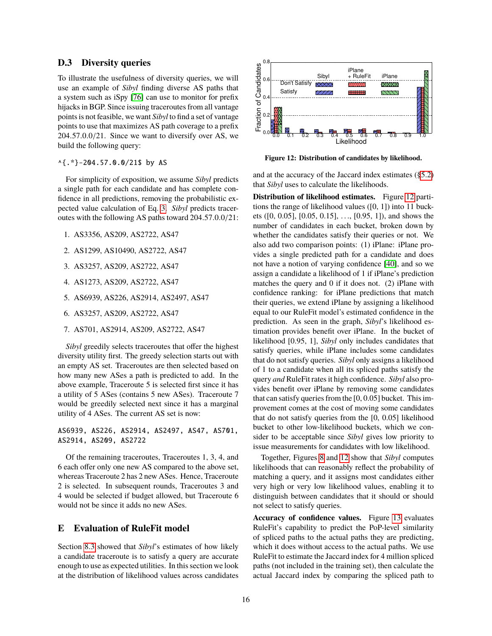#### <span id="page-15-0"></span>**D.3 Diversity queries**

To illustrate the usefulness of diversity queries, we will use an example of *Sibyl* finding diverse AS paths that a system such as iSpy [\[76\]](#page-19-9) can use to monitor for prefix hijacks in BGP. Since issuing traceroutes from all vantage points is not feasible, we want *Sibyl* to find a set of vantage points to use that maximizes AS path coverage to a prefix <sup>204</sup>.57.0.0/21. Since we want to diversify over AS, we build the following query:

^{.\*}-204.57.0.0/21\$ by AS

For simplicity of exposition, we assume *Sibyl* predicts a single path for each candidate and has complete confidence in all predictions, removing the probabilistic expected value calculation of Eq. [3.](#page-5-6) *Sibyl* predicts traceroutes with the following AS paths toward 204.57.0.0/21:

- 1. AS3356, AS209, AS2722, AS47
- 2. AS1299, AS10490, AS2722, AS47
- 3. AS3257, AS209, AS2722, AS47
- 4. AS1273, AS209, AS2722, AS47
- 5. AS6939, AS226, AS2914, AS2497, AS47
- 6. AS3257, AS209, AS2722, AS47
- 7. AS701, AS2914, AS209, AS2722, AS47

*Sibyl* greedily selects traceroutes that offer the highest diversity utility first. The greedy selection starts out with an empty AS set. Traceroutes are then selected based on how many new ASes a path is predicted to add. In the above example, Traceroute 5 is selected first since it has a utility of 5 ASes (contains 5 new ASes). Traceroute 7 would be greedily selected next since it has a marginal utility of 4 ASes. The current AS set is now:

AS6939, AS226, AS2914, AS2497, AS47, AS701, AS2914, AS209, AS2722

Of the remaining traceroutes, Traceroutes 1, 3, 4, and 6 each offer only one new AS compared to the above set, whereas Traceroute 2 has 2 new ASes. Hence, Traceroute 2 is selected. In subsequent rounds, Traceroutes 3 and 4 would be selected if budget allowed, but Traceroute 6 would not be since it adds no new ASes.

#### <span id="page-15-1"></span>**E Evaluation of RuleFit model**

Section [8.3](#page-10-0) showed that *Sibyl*'s estimates of how likely a candidate traceroute is to satisfy a query are accurate enough to use as expected utilities. In this section we look

<span id="page-15-2"></span>

**Figure 12: Distribution of candidates by likelihood.**

and at the accuracy of the Jaccard index estimates ([§5.2\)](#page-6-1) that *Sibyl* uses to calculate the likelihoods.

24. AS 0.0 21. Since we wanted diversify over AS, we wanted the distribution of metallities by the properties of the distribution of metallities across candidates by the properties of the distribution of the distribution **Distribution of likelihood estimates.** Figure [12](#page-15-2) partitions the range of likelihood values ([0, 1]) into 11 buckets ([0, 0.05], [0.05, 0.15], . . ., [0.95, 1]), and shows the number of candidates in each bucket, broken down by whether the candidates satisfy their queries or not. We also add two comparison points: (1) iPlane: iPlane provides a single predicted path for a candidate and does not have a notion of varying confidence [\[40\]](#page-19-21), and so we assign a candidate a likelihood of 1 if iPlane's prediction matches the query and 0 if it does not. (2) iPlane with confidence ranking: for iPlane predictions that match their queries, we extend iPlane by assigning a likelihood equal to our RuleFit model's estimated confidence in the prediction. As seen in the graph, *Sibyl*'s likelihood estimation provides benefit over iPlane. In the bucket of likelihood [0.95, 1], *Sibyl* only includes candidates that satisfy queries, while iPlane includes some candidates that do not satisfy queries. *Sibyl* only assigns a likelihood of 1 to a candidate when all its spliced paths satisfy the query *and* RuleFit rates it high confidence. *Sibyl* also provides benefit over iPlane by removing some candidates that can satisfy queries from the [0, 0.05] bucket. This improvement comes at the cost of moving some candidates that do not satisfy queries from the [0, 0.05] likelihood bucket to other low-likelihood buckets, which we consider to be acceptable since *Sibyl* gives low priority to issue measurements for candidates with low likelihood.

Together, Figures [8](#page-10-3) and [12](#page-15-2) show that *Sibyl* computes likelihoods that can reasonably reflect the probability of matching a query, and it assigns most candidates either very high or very low likelihood values, enabling it to distinguish between candidates that it should or should not select to satisfy queries.

**Accuracy of confidence values.** Figure [13](#page-16-2) evaluates RuleFit's capability to predict the PoP-level similarity of spliced paths to the actual paths they are predicting, which it does without access to the actual paths. We use RuleFit to estimate the Jaccard index for 4 million spliced paths (not included in the training set), then calculate the actual Jaccard index by comparing the spliced path to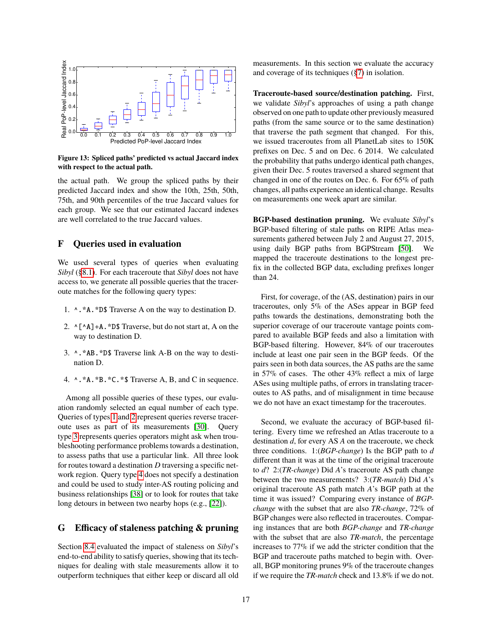<span id="page-16-2"></span>

**Figure 13: Spliced paths' predicted vs actual Jaccard index with respect to the actual path.**

the actual path. We group the spliced paths by their predicted Jaccard index and show the 10th, 25th, 50th, 75th, and 90th percentiles of the true Jaccard values for each group. We see that our estimated Jaccard indexes are well correlated to the true Jaccard values.

## <span id="page-16-0"></span>**F Queries used in evaluation**

We used several types of queries when evaluating *Sibyl* ([§8.1\)](#page-8-3). For each traceroute that *Sibyl* does not have access to, we generate all possible queries that the traceroute matches for the following query types:

- <span id="page-16-3"></span>1. ^.\*A.\*D\$ Traverse A on the way to destination D.
- <span id="page-16-4"></span>2.  $\wedge$ [ $\wedge$ A]+A. \*D\$ Traverse, but do not start at, A on the way to destination D.
- <span id="page-16-5"></span>3. ^.\*AB.\*D\$ Traverse link A-B on the way to destination D.
- <span id="page-16-6"></span>4. ^.\*A.\*B.\*C.\*\$ Traverse A, B, and C in sequence.

Among all possible queries of these types, our evaluation randomly selected an equal number of each type. Queries of types [1](#page-16-3) and [2](#page-16-4) represent queries reverse traceroute uses as part of its measurements [\[30\]](#page-18-24). Query type [3](#page-16-5) represents queries operators might ask when troubleshooting performance problems towards a destination, to assess paths that use a particular link. All three look for routes toward a destination *D* traversing a specific network region. Query type [4](#page-16-6) does not specify a destination and could be used to study inter-AS routing policing and business relationships [\[38\]](#page-19-37) or to look for routes that take long detours in between two nearby hops (e.g., [\[22\]](#page-18-15)).

## <span id="page-16-1"></span>**G Efficacy of staleness patching & pruning**

Section [8.4](#page-10-4) evaluated the impact of staleness on *Sibyl*'s end-to-end ability to satisfy queries, showing that its techniques for dealing with stale measurements allow it to outperform techniques that either keep or discard all old measurements. In this section we evaluate the accuracy and coverage of its techniques ([§7\)](#page-7-0) in isolation.

**Traceroute-based source/destination patching.** First, we validate *Sibyl*'s approaches of using a path change observed on one path to update other previously measured paths (from the same source or to the same destination) that traverse the path segment that changed. For this, we issued traceroutes from all PlanetLab sites to 150K prefixes on Dec. 5 and on Dec. 6 2014. We calculated the probability that paths undergo identical path changes, given their Dec. 5 routes traversed a shared segment that changed in one of the routes on Dec. 6. For 65% of path changes, all paths experience an identical change. Results on measurements one week apart are similar.

**BGP-based destination pruning.** We evaluate *Sibyl*'s BGP-based filtering of stale paths on RIPE Atlas measurements gathered between July 2 and August 27, 2015, using daily BGP paths from BGPStream [\[50\]](#page-19-38). We mapped the traceroute destinations to the longest prefix in the collected BGP data, excluding prefixes longer than 24.

First, for coverage, of the (AS, destination) pairs in our traceroutes, only 5% of the ASes appear in BGP feed paths towards the destinations, demonstrating both the superior coverage of our traceroute vantage points compared to available BGP feeds and also a limitation with BGP-based filtering. However, 84% of our traceroutes include at least one pair seen in the BGP feeds. Of the pairs seen in both data sources, the AS paths are the same in 57% of cases. The other 43% reflect a mix of large ASes using multiple paths, of errors in translating traceroutes to AS paths, and of misalignment in time because we do not have an exact timestamp for the traceroutes.

Second, we evaluate the accuracy of BGP-based filtering. Every time we refreshed an Atlas traceroute to a destination *d*, for every AS *A* on the traceroute, we check three conditions. 1:(*BGP-change*) Is the BGP path to *d* different than it was at the time of the original traceroute to *d*? 2:(*TR-change*) Did *A*'s traceroute AS path change between the two measurements? 3:(*TR-match*) Did *A*'s original traceroute AS path match *A*'s BGP path at the time it was issued? Comparing every instance of *BGPchange* with the subset that are also *TR-change*, 72% of BGP changes were also reflected in traceroutes. Comparing instances that are both *BGP-change* and *TR-change* with the subset that are also *TR-match*, the percentage increases to 77% if we add the stricter condition that the BGP and traceroute paths matched to begin with. Overall, BGP monitoring prunes 9% of the traceroute changes if we require the *TR-match* check and 13.8% if we do not.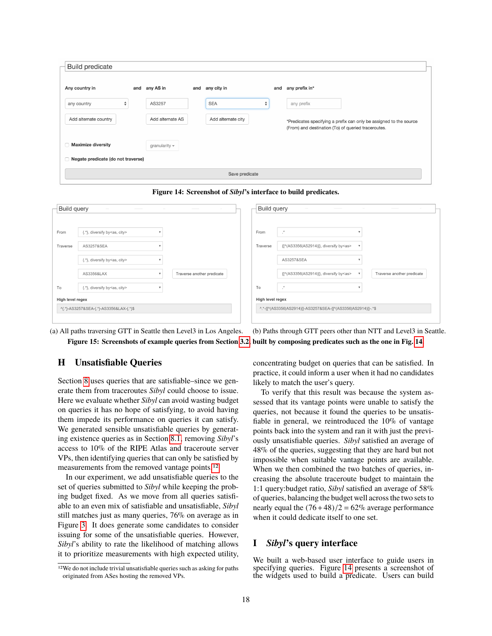<span id="page-17-2"></span>

| Any country in                       | and any AS in       | and | any city in        |                                  | and | any prefix in*                                                                                                            |
|--------------------------------------|---------------------|-----|--------------------|----------------------------------|-----|---------------------------------------------------------------------------------------------------------------------------|
| ÷<br>any country                     | AS3257              |     | <b>SEA</b>         | $\blacktriangle$<br>$\mathbf{v}$ |     | any prefix                                                                                                                |
| Add alternate country                | Add alternate AS    |     | Add alternate city |                                  |     | *Predicates specifying a prefix can only be assigned to the source<br>(From) and destination (To) of queried traceroutes. |
| <b>Maximize diversity</b>            | granularity $\star$ |     |                    |                                  |     |                                                                                                                           |
| □ Negate predicate (do not traverse) |                     |     |                    |                                  |     |                                                                                                                           |



<span id="page-17-4"></span>

| Build query      |                                         |                            | Build query      |                                                               |                           |                            |
|------------------|-----------------------------------------|----------------------------|------------------|---------------------------------------------------------------|---------------------------|----------------------------|
|                  |                                         |                            |                  |                                                               |                           |                            |
| From             | {.*}, diversify by <as, city=""></as,>  |                            | From             | $\mathbb{R}^n$                                                |                           |                            |
| Traverse         | AS3257&SEA                              |                            | Traverse         | {[^(AS3356 AS2914)]}, diversify by <as></as>                  |                           |                            |
|                  | {.*}, diversify by <as, city=""></as,>  |                            |                  | AS3257&SEA                                                    |                           |                            |
|                  | AS3356&LAX                              | Traverse another predicate |                  | {[^(AS3356 AS2914)]}, diversify by <as></as>                  | $\boldsymbol{\mathrm{v}}$ | Traverse another predicate |
| To               | {.*}, diversify by <as, city=""></as,>  |                            | To               | $\cdot$ .                                                     |                           |                            |
| High level regex |                                         |                            | High level regex |                                                               |                           |                            |
|                  | ^{.*}-AS3257&SEA-{.*}-AS3356&LAX-{.*}\$ |                            |                  | ^.*-{[^(AS3356 AS2914)]}-AS3257&SEA-{[^(AS3356 AS2914)]}-.*\$ |                           |                            |
|                  |                                         |                            |                  |                                                               |                           |                            |

(a) All paths traversing GTT in Seattle then Level3 in Los Angeles. (b) Paths through GTT peers other than NTT and Level3 in Seattle. **Figure 15: Screenshots of example queries from Section [3.2,](#page-3-0) built by composing predicates such as the one in Fig. [14.](#page-17-2)**

## <span id="page-17-1"></span>**H Unsatisfiable Queries**

Section [8](#page-7-1) uses queries that are satisfiable–since we generate them from traceroutes *Sibyl* could choose to issue. Here we evaluate whether *Sibyl* can avoid wasting budget on queries it has no hope of satisfying, to avoid having them impede its performance on queries it can satisfy. We generated sensible unsatisfiable queries by generating existence queries as in Section [8.1,](#page-8-3) removing *Sibyl*'s access to 10% of the RIPE Atlas and traceroute server VPs, then identifying queries that can only be satisfied by measurements from the removed vantage points.[12](#page-17-3)

In our experiment, we add unsatisfiable queries to the set of queries submitted to *Sibyl* while keeping the probing budget fixed. As we move from all queries satisfiable to an even mix of satisfiable and unsatisfiable, *Sibyl* still matches just as many queries, 76% on average as in Figure [3.](#page-8-1) It does generate some candidates to consider issuing for some of the unsatisfiable queries. However, *Sibyl*'s ability to rate the likelihood of matching allows it to prioritize measurements with high expected utility,

<span id="page-17-3"></span>12We do not include trivial unsatisfiable queries such as asking for paths originated from ASes hosting the removed VPs.

concentrating budget on queries that can be satisfied. In practice, it could inform a user when it had no candidates likely to match the user's query.

To verify that this result was because the system assessed that its vantage points were unable to satisfy the queries, not because it found the queries to be unsatisfiable in general, we reintroduced the 10% of vantage points back into the system and ran it with just the previously unsatisfiable queries. *Sibyl* satisfied an average of 48% of the queries, suggesting that they are hard but not impossible when suitable vantage points are available. When we then combined the two batches of queries, increasing the absolute traceroute budget to maintain the 1:1 query:budget ratio, *Sibyl* satisfied an average of 58% of queries, balancing the budget well across the two sets to nearly equal the  $(76+48)/2 = 62\%$  average performance when it could dedicate itself to one set.

#### <span id="page-17-0"></span>**I** *Sibyl***'s query interface**

We built a web-based user interface to guide users in specifying queries. Figure [14](#page-17-2) presents a screenshot of the widgets used to build a predicate. Users can build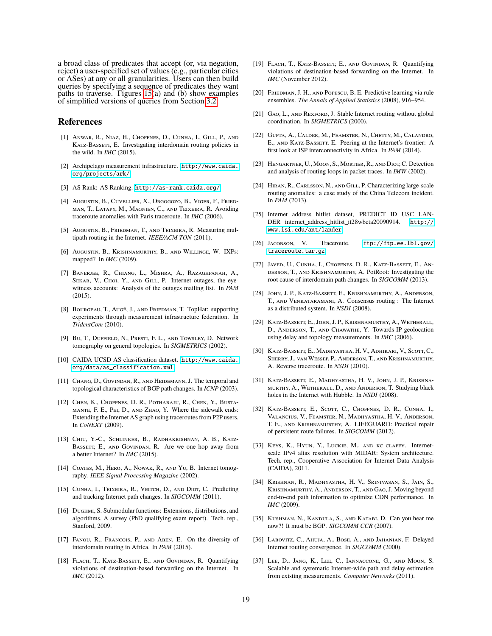a broad class of predicates that accept (or, via negation, reject) a user-specified set of values (e.g., particular cities or ASes) at any or all granularities. Users can then build queries by specifying a sequence of predicates they want paths to traverse. Figures  $15(a)$  and (b) show examples of simplified versions of queries from Section [3.2.](#page-3-0)

#### **References**

- <span id="page-18-13"></span>[1] Anwar, R., Niaz, H., Choffnes, D., Cunha, I., Gill, P., and KATZ-BASSETT, E. Investigating interdomain routing policies in the wild. In *IMC* (2015).
- <span id="page-18-10"></span>[2] Archipelago measurement infrastructure. [http://www.caida.](http://www.caida.org/projects/ark/) [org/projects/ark/](http://www.caida.org/projects/ark/).
- <span id="page-18-29"></span>[3] AS Rank: AS Ranking. <http://as-rank.caida.org/>.
- <span id="page-18-31"></span>[4] Augustin, B., Cuvellier, X., Orgogozo, B., Viger, F., Friedman, T., Latapy, M., Magnien, C., and Teixeira, R. Avoiding traceroute anomalies with Paris traceroute. In *IMC* (2006).
- <span id="page-18-27"></span>[5] Augustin, B., Friedman, T., and Teixeira, R. Measuring multipath routing in the Internet. *IEEE/ACM TON* (2011).
- <span id="page-18-11"></span>[6] Augustin, B., Krishnamurthy, B., and Willinge, W. IXPs: mapped? In *IMC* (2009).
- <span id="page-18-6"></span>[7] Banerjee, R., Chiang, L., Mishra, A., Razaghpanah, A., SEKAR, V., CHOI, Y., AND GILL, P. Internet outages, the eyewitness accounts: Analysis of the outages mailing list. In *PAM* (2015).
- <span id="page-18-17"></span>[8] Bourgeau, T., Augé, J., and Friedman, T. TopHat: supporting experiments through measurement infrastructure federation. In *TridentCom* (2010).
- <span id="page-18-21"></span>[9] Bu, T., Duffield, N., Presti, F. L., and Towsley, D. Network tomography on general topologies. In *SIGMETRICS* (2002).
- <span id="page-18-36"></span>[10] CAIDA UCSD AS classification dataset. [http://www.caida.](http://www.caida.org/data/as_classification.xml) [org/data/as\\_classification.xml](http://www.caida.org/data/as_classification.xml).
- <span id="page-18-1"></span>[11] CHANG, D., GOVINDAN, R., AND HEIDEMANN, J. The temporal and topological characteristics of BGP path changes. In *ICNP* (2003).
- <span id="page-18-19"></span>[12] Chen, K., Choffnes, D. R., Potharaju, R., Chen, Y., Bustamante, F. E., Pei, D., and Zhao, Y. Where the sidewalk ends: Extending the Internet AS graph using traceroutes from P2P users. In *CoNEXT* (2009).
- <span id="page-18-14"></span>[13] Chiu, Y.-C., Schlinker, B., Radhakrishnan, A. B., Katz-BASSETT, E., AND GOVINDAN, R. Are we one hop away from a better Internet? In *IMC* (2015).
- <span id="page-18-22"></span>[14] COATES, M., HERO, A., NOWAK, R., AND YU, B. Internet tomography. *IEEE Signal Processing Magazine* (2002).
- <span id="page-18-18"></span>[15] CUNHA, I., TEIXEIRA, R., VEITCH, D., AND DIOT, C. Predicting and tracking Internet path changes. In *SIGCOMM* (2011).
- <span id="page-18-34"></span>[16] DUGHMI, S. Submodular functions: Extensions, distributions, and algorithms. A survey (PhD qualifying exam report). Tech. rep., Stanford, 2009.
- <span id="page-18-20"></span>[17] FANOU, R., FRANCOIS, P., AND ABEN, E. On the diversity of interdomain routing in Africa. In *PAM* (2015).
- <span id="page-18-26"></span>[18] FLACH, T., KATZ-BASSETT, E., AND GOVINDAN, R. Quantifying violations of destination-based forwarding on the Internet. In *IMC* (2012).
- <span id="page-18-35"></span>[19] FLACH, T., KATZ-BASSETT, E., AND GOVINDAN, R. Quantifying violations of destination-based forwarding on the Internet. In *IMC* (November 2012).
- <span id="page-18-25"></span>[20] FRIEDMAN, J. H., AND POPESCU, B. E. Predictive learning via rule ensembles. *The Annals of Applied Statistics* (2008), 916–954.
- <span id="page-18-32"></span>[21] GAO, L., AND REXFORD, J. Stable Internet routing without global coordination. In *SIGMETRICS* (2000).
- <span id="page-18-15"></span>[22] Gupta, A., Calder, M., Feamster, N., Chetty, M., Calandro, E., AND KATZ-BASSETT, E. Peering at the Internet's frontier: A first look at ISP interconnectivity in Africa. In *PAM* (2014).
- <span id="page-18-2"></span>[23] Hengartner, U., Moon, S., Mortier, R., and Diot, C. Detection and analysis of routing loops in packet traces. In *IMW* (2002).
- <span id="page-18-9"></span>[24] Hiran, R., Carlsson, N., and Gill, P. Characterizing large-scale routing anomalies: a case study of the China Telecom incident. In *PAM* (2013).
- <span id="page-18-23"></span>[25] Internet address hitlist dataset, PREDICT ID USC LAN-DER internet\_address\_hitlist\_it28wbeta20090914. [http://](http://www.isi.edu/ant/lander) [www.isi.edu/ant/lander](http://www.isi.edu/ant/lander).
- <span id="page-18-30"></span>[26] Jacobson, V. Traceroute. [ftp://ftp.ee.lbl.gov/](ftp://ftp.ee.lbl.gov/traceroute.tar.gz) [traceroute.tar.gz](ftp://ftp.ee.lbl.gov/traceroute.tar.gz).
- <span id="page-18-16"></span>[27] Javed, U., Cunha, I., Choffnes, D. R., Katz-Bassett, E., Anderson, T., and Krishnamurthy, A. PoiRoot: Investigating the root cause of interdomain path changes. In *SIGCOMM* (2013).
- <span id="page-18-3"></span>[28] John, J. P., Katz-Bassett, E., Krishnamurthy, A., Anderson, T., and Venkataramani, A. Consensus routing : The Internet as a distributed system. In *NSDI* (2008).
- <span id="page-18-12"></span>[29] Katz-Bassett, E., John, J. P., Krishnamurthy, A., Wetherall, D., Anderson, T., and Chawathe, Y. Towards IP geolocation using delay and topology measurements. In *IMC* (2006).
- <span id="page-18-24"></span>[30] KATZ-BASSETT, E., MADHYASTHA, H. V., ADHIKARI, V., SCOTT, C., Sherry, J., van Wessep, P., Anderson, T., and Krishnamurthy, A. Reverse traceroute. In *NSDI* (2010).
- <span id="page-18-7"></span>[31] Katz-Bassett, E., Madhyastha, H. V., John, J. P., Krishnamurthy, A., Wetherall, D., and Anderson, T. Studying black holes in the Internet with Hubble. In *NSDI* (2008).
- <span id="page-18-8"></span>[32] KATZ-BASSETT, E., SCOTT, C., CHOFFNES, D. R., CUNHA, I., Valancius, V., Feamster, N., Madhyastha, H. V., Anderson, T. E., and Krishnamurthy, A. LIFEGUARD: Practical repair of persistent route failures. In *SIGCOMM* (2012).
- <span id="page-18-28"></span>[33] Keys, K., Hyun, Y., Luckie, M., and kc claffy. Internetscale IPv4 alias resolution with MIDAR: System architecture. Tech. rep., Cooperative Association for Internet Data Analysis (CAIDA), 2011.
- <span id="page-18-0"></span>[34] Krishnan, R., Madhyastha, H. V., Srinivasan, S., Jain, S., Krishnamurthy, A., Anderson, T., and Gao, J. Moving beyond end-to-end path information to optimize CDN performance. In *IMC* (2009).
- <span id="page-18-4"></span>[35] KUSHMAN, N., KANDULA, S., AND KATABI, D. Can you hear me now?! It must be BGP. *SIGCOMM CCR* (2007).
- <span id="page-18-5"></span>[36] Labovitz, C., Ahuja, A., Bose, A., and Jahanian, F. Delayed Internet routing convergence. In *SIGCOMM* (2000).
- <span id="page-18-33"></span>[37] Lee, D., Jang, K., Lee, C., Iannaccone, G., and Moon, S. Scalable and systematic Internet-wide path and delay estimation from existing measurements. *Computer Networks* (2011).